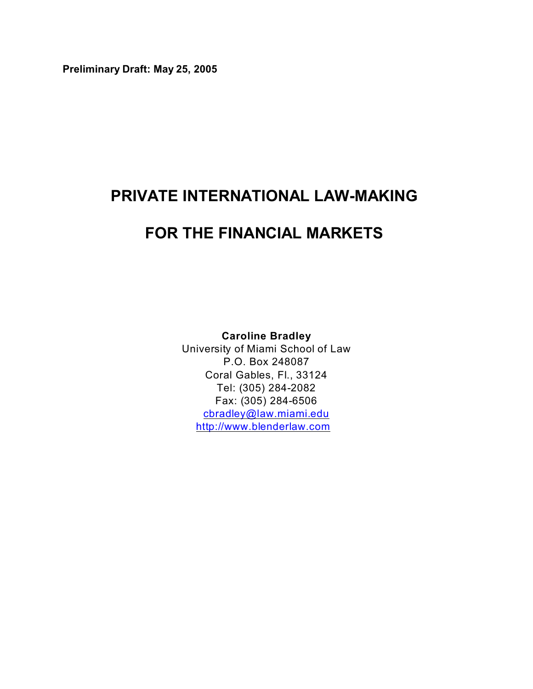**Preliminary Draft: May 25, 2005** 

# **PRIVATE INTERNATIONAL LAW-MAKING**

# **FOR THE FINANCIAL MARKETS**

**Caroline Bradley**

University of Miami School of Law P.O. Box 248087 Coral Gables, Fl., 33124 Tel: (305) 284-2082 Fax: (305) 284-6506 [cbradley@law.miami.edu](mailto:cbradley@law.miami.edu) <http://www.blenderlaw.com>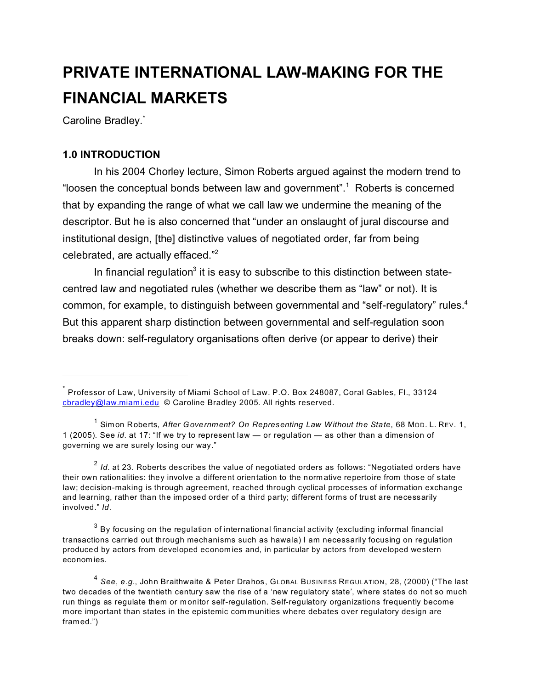# **PRIVATE INTERNATIONAL LAW-MAKING FOR THE FINANCIAL MARKETS**

Caroline Bradley.<sup>\*</sup>

# **1.0 INTRODUCTION**

In his 2004 Chorley lecture, Simon Roberts argued against the modern trend to "loosen the conceptual bonds between law and government".<sup>1</sup> Roberts is concerned that by expanding the range of what we call law we undermine the meaning of the descriptor. But he is also concerned that "under an onslaught of jural discourse and institutional design, [the] distinctive values of negotiated order, far from being celebrated, are actually effaced."<sup>2</sup>

In financial regulation<sup>3</sup> it is easy to subscribe to this distinction between statecentred law and negotiated rules (whether we describe them as "law" or not). It is common, for example, to distinguish between governmental and "self-regulatory" rules.<sup>4</sup> But this apparent sharp distinction between governmental and self-regulation soon breaks down: self-regulatory organisations often derive (or appear to derive) their

<sup>2</sup> Id. at 23. Roberts describes the value of negotiated orders as follows: "Negotiated orders have their own rationalities: they involve a different orientation to the norm ative repertoire from those of state law; decision-making is through agreement, reached through cyclical processes of information exchange and learning, rather than the im posed order of a third party; different forms of trust are necessarily involved." *Id*.

<sup>\*</sup> Professor of Law, University of Miami School of Law. P.O. Box 248087, Coral Gables, Fl., 33124 [cbradley@law.miami.edu](mailto:cbradley@law.miami.edu) © Caroline Bradley 2005. All rights reserved.

<sup>&</sup>lt;sup>1</sup> Simon Roberts, *After Government? On Representing Law Without the State*, 68 Mop. L. Rev. 1, 1 (2005). See *id.* at 17: "If we try to represent law — or regulation — as other than a dimension of governing we are surely losing our way."

 $^3$  By focusing on the regulation of international financial activity (excluding informal financial transactions carried out through mechanisms such as hawala) I am necessarily focusing on regulation produced by actors from developed econom ies and, in particular by actors from developed western econom ies.

<sup>4</sup> *See*, *e.g.*, John Braithwaite & Peter Drahos, GLOBAL BUSINESS REGULATION, 28, (2000) ("The last two decades of the twentieth century saw the rise of a 'new regulatory state', where states do not so much run things as regulate them or monitor self-regulation. Self-regulatory organizations frequently become more important than states in the epistemic com munities where debates over regulatory design are framed.")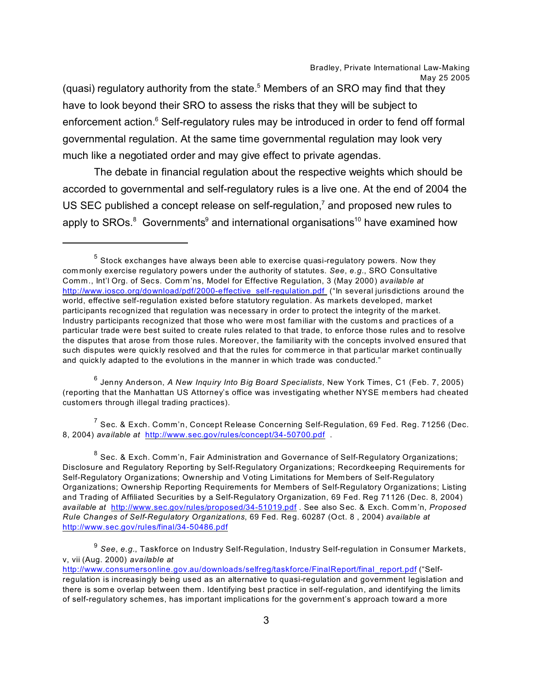(quasi) regulatory authority from the state. $5$  Members of an SRO may find that they have to look beyond their SRO to assess the risks that they will be subject to enforcement action.<sup>6</sup> Self-regulatory rules may be introduced in order to fend off formal governmental regulation. At the same time governmental regulation may look very much like a negotiated order and may give effect to private agendas.

The debate in financial regulation about the respective weights which should be accorded to governmental and self-regulatory rules is a live one. At the end of 2004 the US SEC published a concept release on self-regulation,<sup>7</sup> and proposed new rules to apply to SROs. $^8$  Governments $^9$  and international organisations<sup>10</sup> have examined how

6 Jenny Anderson, *A New Inquiry Into Big Board Specialists*, New York Times, C1 (Feb. 7, 2005) (reporting that the Manhattan US Attorney's office was investigating whether NYSE members had cheated custom ers through illegal trading practices).

 $^7$  Sec. & Exch. Comm'n, Concept Release Concerning Self-Regulation, 69 Fed. Reg. 71256 (Dec. 8, 2004) *available at* <http://www.sec.gov/rules/concept/34-50700.pdf> .

 $^5$  Stock exchanges have always been able to exercise quasi-regulatory powers. Now they com monly exercise regulatory powers under the authority of statutes. *See*, *e.g.*, SRO Consultative Comm., Int'l Org. of Secs. Com m'ns, Model for Effective Regulation, 3 (May 2000) *available at* [http://www.iosco.org/download/pdf/2000-effective\\_self-regulation.pdf](http://www.iosco.org/download/pdf/2000-effective_self-regulation.pdf ) ("In several jurisdictions around the world, effective self-regulation existed before statutory regulation. As markets developed, market participants recognized that regulation was necessary in order to protect the integrity of the m arket. Industry participants recognized that those who were m ost familiar with the custom s and practices of a particular trade were best suited to create rules related to that trade, to enforce those rules and to resolve the disputes that arose from those rules. Moreover, the familiarity with the concepts involved ensured that such disputes were quickly resolved and that the rules for commerce in that particular market continually and quickly adapted to the evolutions in the manner in which trade was conducted."

 $^8$  Sec. & Exch. Comm'n, Fair Administration and Governance of Self-Regulatory Organizations; Disclosure and Regulatory Reporting by Self-Regulatory Organizations; Recordkeeping Requirements for Self-Regulatory Organizations; Ownership and Voting Limitations for Members of Self-Regulatory Organizations; Ownership Reporting Requirements for Members of Self-Regulatory Organizations; Listing and Trading of Affiliated Securities by a Self-Regulatory Organization, 69 Fed. Reg 71126 (Dec. 8, 2004) *available at* <http://www.sec.gov/rules/proposed/34-51019.pdf> . See also Sec. & Exch. Comm'n, *Proposed Rule Changes of Self-Regulatory Organizations*, 69 Fed. Reg. 60287 (Oct. 8 , 2004) *available at* <http://www.sec.gov/rules/final/34-50486.pdf>

<sup>&</sup>lt;sup>9</sup> See, e.*g.*, Taskforce on Industry Self-Regulation, Industry Self-regulation in Consumer Markets, v, vii (Aug. 2000) *available at*

[http://www.consumersonline.gov.au/downloads/selfreg/taskforce/FinalReport/final\\_report.pdf](http://www.consumersonline.gov.au/downloads/selfreg/taskforce/FinalReport/final_report.pdf) ("Selfregulation is increasingly being used as an alternative to quasi-regulation and government legislation and there is som e overlap between them . Identifying best practice in self-regulation, and identifying the limits of self-regulatory schemes, has important implications for the government's approach toward a more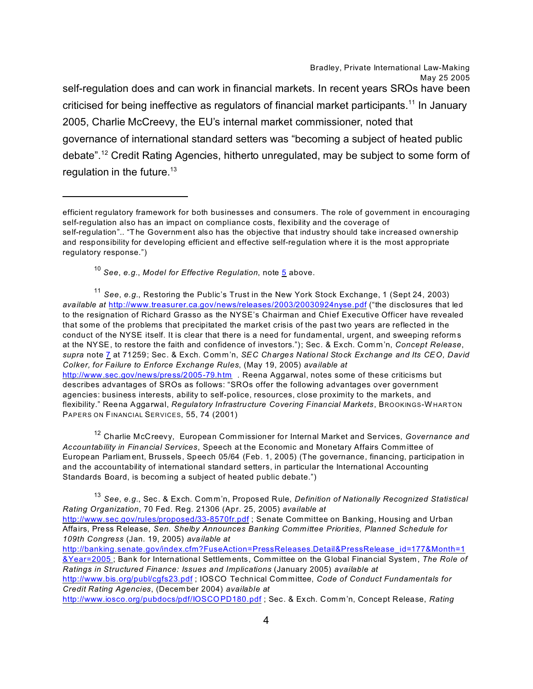Bradley, Private International Law-Making May 25 2005 self-regulation does and can work in financial markets. In recent years SROs have been criticised for being ineffective as regulators of financial market participants.<sup>11</sup> In January 2005, Charlie McCreevy, the EU's internal market commissioner, noted that governance of international standard setters was "becoming a subject of heated public debate".<sup>12</sup> Credit Rating Agencies, hitherto unregulated, may be subject to some form of regulation in the future. $13$ 

<sup>11</sup> *See*, *e.g.*, Restoring the Public's Trust in the New York Stock Exchange, 1 (Sept 24, 2003) *available at* <http://www.treasurer.ca.gov/news/releases/2003/20030924nyse.pdf> ("the disclosures that led to the resignation of Richard Grasso as the NYSE's Chairman and Chief Executive Officer have revealed that some of the problems that precipitated the market crisis of the past two years are reflected in the conduct of the NYSE itself. It is clear that there is a need for fundamental, urgent, and sweeping reforms at the NYSE, to restore the faith and confidence of investors."); Sec. & Exch. Comm'n, *Concept Release*, *supra* note [7](#page-3-0) at 71259; Sec. & Exch. Comm'n, *SEC Charges National Stock Exchange and Its CEO, David Colker, for Failure to Enforce Exchange Rules*, (May 19, 2005) *available at*  <http://www.sec.gov/news/press/2005-79.htm> . Reena Aggarwal, notes some of these criticisms but describes advantages of SROs as follows: "SROs offer the following advantages over government agencies: business interests, ability to self-police, resources, close proximity to the markets, and flexibility." Reena Aggarwal, *Regulatory Infrastructure Covering Financial Markets*, BROOKINGS-WHARTON PAPERS ON FINANCIAL SERVICES, 55, 74 (2001)

<sup>12</sup> Charlie McCreevy, European Commissioner for Internal Market and Services, *Governance and Accountability in Financial Services*, Speech at the Economic and Monetary Affairs Comm ittee of European Parliam ent, Brussels, Speech 05/64 (Feb. 1, 2005) (The governance, financing, participation in and the accountability of international standard setters, in particular the International Accounting Standards Board, is becom ing a subject of heated public debate.")

<sup>13</sup> *See*, *e.g.*, Sec. & Exch. Comm'n, Proposed Rule, *Definition of Nationally Recognized Statistical Rating Organization*, 70 Fed. Reg. 21306 (Apr. 25, 2005) *available at*  <http://www.sec.gov/rules/proposed/33-8570fr.pdf> ; Senate Committee on Banking, Housing and Urban Affairs, Press Release, *Sen. Shelby Announces Banking Committee Priorities, Planned Schedule for 109th Congress* (Jan. 19, 2005) *available at*  [http://banking.senate.gov/index.cfm?FuseAction=PressReleases.Detail&PressRelease\\_id=177&Month=1](http://banking.senate.gov/index.cfm?FuseAction=PressReleases.Detail&PressRelease_id=177&Month=1&Year=2005 ) [&Year=2005](http://banking.senate.gov/index.cfm?FuseAction=PressReleases.Detail&PressRelease_id=177&Month=1&Year=2005 ) ; Bank for International Settlem ents, Committee on the Global Financial System, *The Role of Ratings in Structured Finance: Issues and Implications* (January 2005) *available at*

<http://www.bis.org/publ/cgfs23.pdf> ; IOSCO Technical Committee, *Code of Conduct Fundamentals for Credit Rating Agencies*, (Decem ber 2004) *available at*

<span id="page-3-0"></span><http://www.iosco.org/pubdocs/pdf/IOSCOPD180.pdf> ; Sec. & Exch. Comm'n, Concept Release, *Rating*

efficient regulatory framework for both businesses and consumers. The role of government in encouraging self-regulation also has an impact on compliance costs, flexibility and the coverage of self-regulation".. "The Governm ent also has the objective that industry should take increased ownership and responsibility for developing efficient and effective self-regulation where it is the most appropriate regulatory response.")

<sup>10</sup> *See*, *e.g.*, *Model for Effective Regulation*, note [5](#page-33-0) above.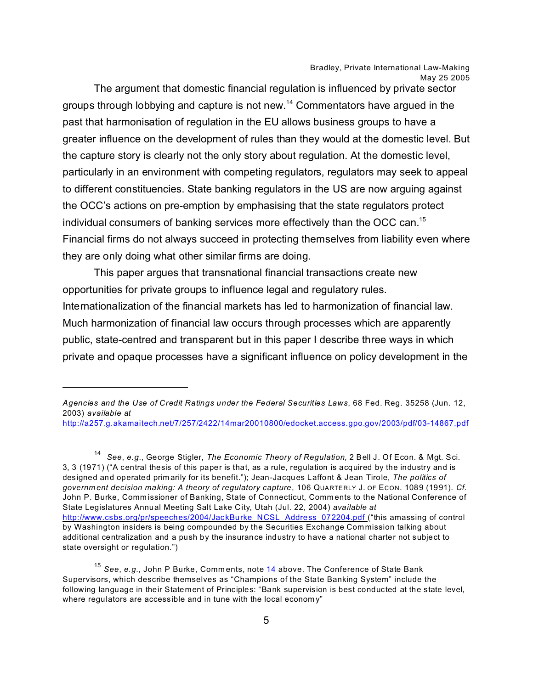The argument that domestic financial regulation is influenced by private sector groups through lobbying and capture is not new.<sup>14</sup> Commentators have argued in the past that harmonisation of regulation in the EU allows business groups to have a greater influence on the development of rules than they would at the domestic level. But the capture story is clearly not the only story about regulation. At the domestic level, particularly in an environment with competing regulators, regulators may seek to appeal to different constituencies. State banking regulators in the US are now arguing against the OCC's actions on pre-emption by emphasising that the state regulators protect individual consumers of banking services more effectively than the OCC can.<sup>15</sup> Financial firms do not always succeed in protecting themselves from liability even where they are only doing what other similar firms are doing.

This paper argues that transnational financial transactions create new opportunities for private groups to influence legal and regulatory rules. Internationalization of the financial markets has led to harmonization of financial law. Much harmonization of financial law occurs through processes which are apparently public, state-centred and transparent but in this paper I describe three ways in which private and opaque processes have a significant influence on policy development in the

14 *See*, *e.g.*, George Stigler, *The Economic Theory of Regulation*, 2 Bell J. Of Econ. & Mgt. Sci. 3, 3 (1971) ("A central thesis of this paper is that, as a rule, regulation is acquired by the industry and is designed and operated prim arily for its benefit."); Jean-Jacques Laffont & Jean Tirole, *The politics of government decision making: A theory of regulatory capture*, 106 QUARTE RLY J. OF ECON. 1089 (1991). *Cf.* John P. Burke, Commissioner of Banking, State of Connecticut, Comments to the National Conference of State Legislatures Annual Meeting Salt Lake City, Utah (Jul. 22, 2004) *available at*  [http://www.csbs.org/pr/speeches/2004/JackBurke\\_NCSL\\_Address\\_072204.pdf](http://www.csbs.org/pr/speeches/2004/JackBurke_NCSL_Address_072204.pdf ) ("this amassing of control by Washington insiders is being compounded by the Securities Exchange Commission talking about additional centralization and a push by the insurance industry to have a national charter not subject to state oversight or regulation.")

*Agencies and the Use of Credit Ratings under the Federal Securities Laws*, 68 Fed. Reg. 35258 (Jun. 12, 2003) *available at*

[http://a257.g.akamaitech.net/7/257/2422/14mar20010800/edocket.access.gpo.gov/2003/pdf/03-14867.pdf](http://a257.g.akamaitech.net/7/257/2422/14mar20010800/edocket.access.gpo.gov/2003/pdf/03-14867.pdf )

<span id="page-4-0"></span><sup>15</sup> *See*, *e.g.*, John P Burke, Comm ents, note [14](#page-4-0) above. The Conference of State Bank Supervisors, which describe themselves as "Champions of the State Banking System" include the following language in their Statement of Principles: "Bank supervision is best conducted at the state level, where regulators are accessible and in tune with the local economy"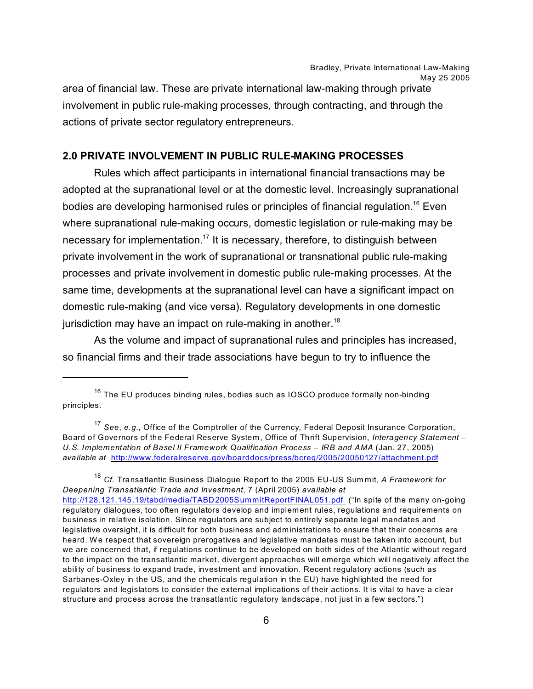Bradley, Private International Law-Making May 25 2005 area of financial law. These are private international law-making through private involvement in public rule-making processes, through contracting, and through the

#### **2.0 PRIVATE INVOLVEMENT IN PUBLIC RULE-MAKING PROCESSES**

actions of private sector regulatory entrepreneurs.

Rules which affect participants in international financial transactions may be adopted at the supranational level or at the domestic level. Increasingly supranational bodies are developing harmonised rules or principles of financial regulation.<sup>16</sup> Even where supranational rule-making occurs, domestic legislation or rule-making may be necessary for implementation.<sup>17</sup> It is necessary, therefore, to distinguish between private involvement in the work of supranational or transnational public rule-making processes and private involvement in domestic public rule-making processes. At the same time, developments at the supranational level can have a significant impact on domestic rule-making (and vice versa). Regulatory developments in one domestic jurisdiction may have an impact on rule-making in another.<sup>18</sup>

As the volume and impact of supranational rules and principles has increased, so financial firms and their trade associations have begun to try to influence the

<sup>18</sup> *Cf.* Transatlantic Business Dialogue Report to the 2005 EU-US Sum mit, *A Framework for Deepening Transatlantic Trade and Investment*, 7 (April 2005) *available at*  [http://128.121.145.19/tabd/media/TABD2005SummitReportFINAL051.pdf](http://128.121.145.19/tabd/media/TABD2005SummitReportFINAL051.pdf ) ("In spite of the many on-going regulatory dialogues, too often regulators develop and implement rules, regulations and requirements on business in relative isolation. Since regulators are subject to entirely separate legal mandates and legislative oversight, it is difficult for both business and adm inistrations to ensure that their concerns are heard. We respect that sovereign prerogatives and legislative mandates must be taken into account, but we are concerned that, if regulations continue to be developed on both sides of the Atlantic without regard to the impact on the transatlantic market, divergent approaches will emerge which will negatively affect the ability of business to expand trade, investment and innovation. Recent regulatory actions (such as Sarbanes-Oxley in the US, and the chemicals regulation in the EU) have highlighted the need for regulators and legislators to consider the external implications of their actions. It is vital to have a clear structure and process across the transatlantic regulatory landscape, not just in a few sectors.")

 $16$  The EU produces binding rules, bodies such as IOSCO produce formally non-binding principles.

<sup>17</sup> *See*, *e.g.*, Office of the Comptroller of the Currency, Federal Deposit Insurance Corporation, Board of Governors of the Federal Reserve System, Office of Thrift Supervision, *Interagency Statement – U.S. Implementation of Basel II Framework Qualification Process – IRB and AMA* (Jan. 27, 2005) *available at* <http://www.federalreserve.gov/boarddocs/press/bcreg/2005/20050127/attachment.pdf>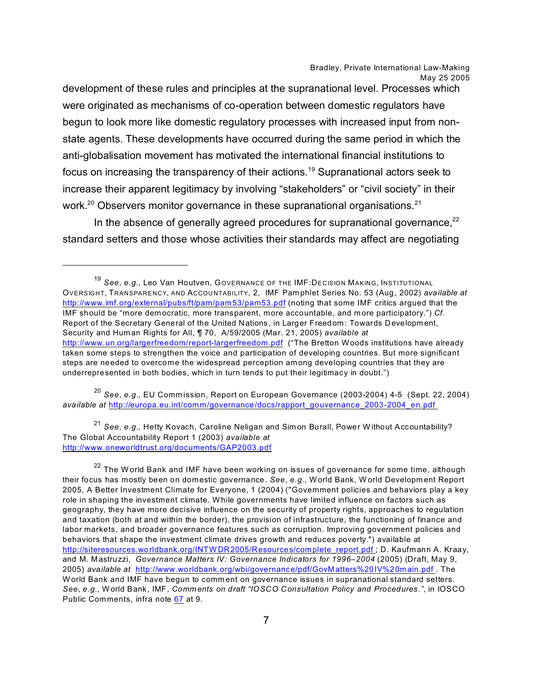development of these rules and principles at the supranational level. Processes which were originated as mechanisms of co-operation between domestic regulators have begun to look more like domestic regulatory processes with increased input from nonstate agents. These developments have occurred during the same period in which the anti-globalisation movement has motivated the international financial institutions to focus on increasing the transparency of their actions.<sup>19</sup> Supranational actors seek to increase their apparent legitimacy by involving "stakeholders" or "civil society" in their work.<sup>20</sup> Observers monitor governance in these supranational organisations.<sup>21</sup>

In the absence of generally agreed procedures for supranational governance, $^{22}$ standard setters and those whose activities their standards may affect are negotiating

<sup>20</sup> *See*, *e.g.*, EU Comm ission, Report on European Governance (2003-2004) 4-5 (Sept. 22, 2004) *available at* [http://europa.eu.int/comm/governance/docs/rapport\\_gouvernance\\_2003-2004\\_en.pdf](http://europa.eu.int/comm/governance/docs/rapport_gouvernance_2003-2004_en.pdf ) 

<sup>21</sup> *See*, *e.g.*, Hetty Kovach, Caroline Neligan and Sim on Burall, Power W ithout Accountability? The Global Accountability Report 1 (2003) *available at* <http://www.oneworldtrust.org/documents/GAP2003.pdf>

<sup>19</sup> *See*, *e.g.*, Leo Van Houtven, GOVERNANCE OF THE IMF:DECISION MAKING, INSTITUTIONAL OVERSIGHT, TRANSPARENCY, AND ACCOU NTABILITY, 2, IMF Pam phlet Series No. 53 (Aug, 2002) *available at*  <http://www.imf.org/external/pubs/ft/pam/pam53/pam53.pdf> (noting that some IMF critics argued that the IMF should be "more dem ocratic, more transparent, more accountable, and more participatory.") *Cf.* Report of the Secretary General of the United Nations, in Larger Freedom: Towards Developm ent, Security and Hum an Rights for All, ¶ 70, A/59/2005 (Mar. 21, 2005) *available at* <http://www.un.org/largerfreedom/report-largerfreedom.pdf> ("The Bretton Woods institutions have already taken some steps to strengthen the voice and participation of developing countries. But more significant steps are needed to overcome the widespread perception am ong developing countries that they are underrepresented in both bodies, which in turn tends to put their legitimacy in doubt.")

 $22$  The W orld Bank and IMF have been working on issues of governance for some time, although their focus has mostly been on domestic governance. *See*, *e.g.*, World Bank, W orld Developm ent Report 2005, A Better Investment Climate for Everyone, 1 (2004) ("Government policies and behaviors play a key role in shaping the investment climate. W hile governments have limited influence on factors such as geography, they have more decisive influence on the security of property rights, approaches to regulation and taxation (both at and within the border), the provision of infrastructure, the functioning of finance and labor markets, and broader governance features such as corruption. Improving government policies and behaviors that shape the investment climate drives growth and reduces poverty.") available at http://siteresources.worldbank.org/INTW [DR2005/Resources/complete\\_report.pdf](http://siteresources.worldbank.org/INTWDR2005/Resources/complete_report.pdf ) ; D. Kaufmann A. Kraay, and M. Mastruzzi, *Governance Matters IV: Governance Indicators for 1996–2004* (2005) (Draft, May 9, 2005) *available at* [http://www.worldbank.org/wbi/governance/pdf/GovMatters%20IV%20main.pdf](http://www.worldbank.org/wbi/governance/pdf/GovMatters%20IV%20main.pdf ) . The World Bank and IMF have begun to comment on governance issues in supranational standard setters. *See*, *e.g.*, World Bank, IMF, *Comm ents on draft "IOSCO Consultation Policy and Procedures."*, in IOSCO Public Comments, infra note [67](#page-27-0) at 9.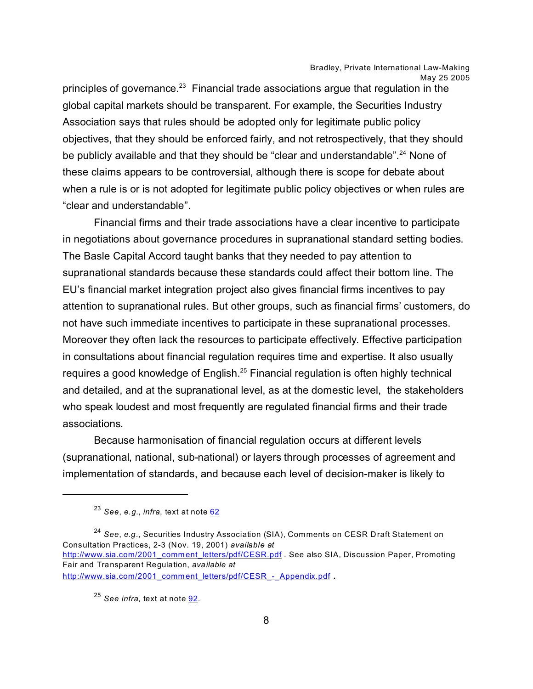principles of governance. $^{23}$  Financial trade associations argue that regulation in the global capital markets should be transparent. For example, the Securities Industry Association says that rules should be adopted only for legitimate public policy objectives, that they should be enforced fairly, and not retrospectively, that they should be publicly available and that they should be "clear and understandable".<sup>24</sup> None of these claims appears to be controversial, although there is scope for debate about when a rule is or is not adopted for legitimate public policy objectives or when rules are "clear and understandable".

Financial firms and their trade associations have a clear incentive to participate in negotiations about governance procedures in supranational standard setting bodies. The Basle Capital Accord taught banks that they needed to pay attention to supranational standards because these standards could affect their bottom line. The EU's financial market integration project also gives financial firms incentives to pay attention to supranational rules. But other groups, such as financial firms' customers, do not have such immediate incentives to participate in these supranational processes. Moreover they often lack the resources to participate effectively. Effective participation in consultations about financial regulation requires time and expertise. It also usually requires a good knowledge of English.<sup>25</sup> Financial regulation is often highly technical and detailed, and at the supranational level, as at the domestic level, the stakeholders who speak loudest and most frequently are regulated financial firms and their trade associations.

Because harmonisation of financial regulation occurs at different levels (supranational, national, sub-national) or layers through processes of agreement and implementation of standards, and because each level of decision-maker is likely to

<sup>24</sup> *See*, *e.g*., Securities Industry Association (SIA), Comments on CESR Draft Statement on Consultation Practices, 2-3 (Nov. 19, 2001) *available at* [http://www.sia.com/2001\\_comment\\_letters/pdf/CESR.pdf](http://www.sia.com/2001_comment_letters/pdf/CESR.pdf) . See also SIA, Discussion Paper, Promoting Fair and Transparent Regulation, *available at*  [http://www.sia.com/2001\\_comment\\_letters/pdf/CESR\\_-\\_Appendix.pdf](http://www.sia.com/2001_comment_letters/pdf/CESR_-_Appendix.pdf) .

<sup>23</sup> *See*, *e.g.*, *infra*, text at note [62](#page-16-0)

<span id="page-7-0"></span>

<sup>25</sup> *See infra*, text at note [92](#page-7-0).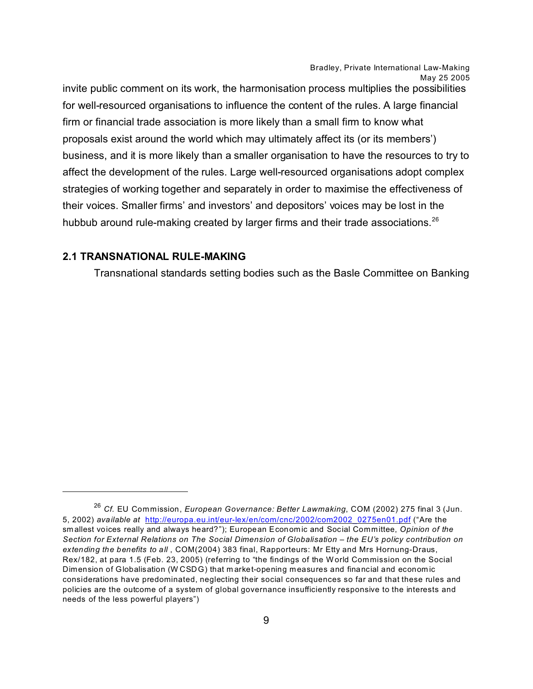invite public comment on its work, the harmonisation process multiplies the possibilities for well-resourced organisations to influence the content of the rules. A large financial firm or financial trade association is more likely than a small firm to know what proposals exist around the world which may ultimately affect its (or its members') business, and it is more likely than a smaller organisation to have the resources to try to affect the development of the rules. Large well-resourced organisations adopt complex strategies of working together and separately in order to maximise the effectiveness of their voices. Smaller firms' and investors' and depositors' voices may be lost in the hubbub around rule-making created by larger firms and their trade associations.<sup>26</sup>

#### **2.1 TRANSNATIONAL RULE-MAKING**

Transnational standards setting bodies such as the Basle Committee on Banking

<sup>26</sup> *Cf.* EU Commission, *European Governance: Better Lawmaking*, COM (2002) 275 final 3 (Jun. 5, 2002) *available at* [http://europa.eu.int/eur-lex/en/com/cnc/2002/com2002\\_0275en01.pdf](http://europa.eu.int/eur-lex/en/com/cnc/2002/com2002_0275en01.pdf ) ("Are the sm allest voices really and always heard?"); European Economic and Social Committee, *Opinion of the Section for External Relations on The Social Dimension of Globalisation – the EU's policy contribution on extending the benefits to all* , COM(2004) 383 final, Rapporteurs: Mr Etty and Mrs Hornung-Draus, Rex/182, at para 1.5 (Feb. 23, 2005) (referring to "the findings of the World Commission on the Social Dimension of Globalisation (W CSDG) that m arket-opening m easures and financial and econom ic considerations have predominated, neglecting their social consequences so far and that these rules and policies are the outcome of a system of global governance insufficiently responsive to the interests and needs of the less powerful players")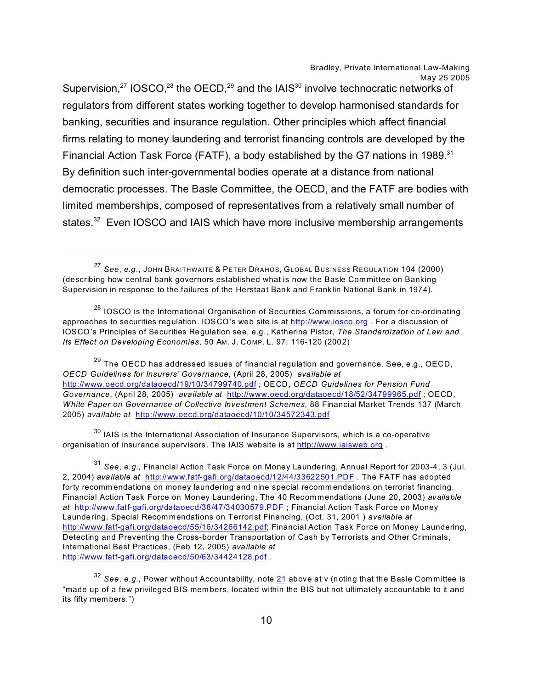Supervision, $27$  IOSCO, $28$  the OECD, $29$  and the IAIS $30$  involve technocratic networks of regulators from different states working together to develop harmonised standards for banking, securities and insurance regulation. Other principles which affect financial firms relating to money laundering and terrorist financing controls are developed by the Financial Action Task Force (FATF), a body established by the G7 nations in 1989.<sup>31</sup> By definition such inter-governmental bodies operate at a distance from national democratic processes. The Basle Committee, the OECD, and the FATF are bodies with limited memberships, composed of representatives from a relatively small number of states.<sup>32</sup> Even IOSCO and IAIS which have more inclusive membership arrangements

 $^{29}$  The OECD has addressed issues of financial regulation and governance. See, e.g., OECD, *OECD Guidelines for Insurers' Governance*, (April 28, 2005) *available at*  <http://www.oecd.org/dataoecd/19/10/34799740.pdf> ; OECD, *OECD Guidelines for Pension Fund Governance*, (April 28, 2005) *available at* <http://www.oecd.org/dataoecd/18/52/34799965.pdf> ; OECD, *White Paper on Governance of Collective Investment Schemes*, 88 Financial Market Trends 137 (March 2005) *available at* <http://www.oecd.org/dataoecd/10/10/34572343.pdf>

 $30$  IAIS is the International Association of Insurance Supervisors, which is a co-operative organisation of insurance supervisors. The IAIS website is at<http://www.iaisweb.org> .

<sup>27</sup> *See*, *e.g*., JOHN BRAITHWAITE & PETER DRAHOS, GLOBAL BUSINESS REGULATION 104 (2000) (describing how central bank governors established what is now the Basle Committee on Banking Supervision in response to the failures of the Herstaat Bank and Frank lin National Bank in 1974).

<sup>&</sup>lt;sup>28</sup> IOSCO is the International Organisation of Securities Commissions, a forum for co-ordinating approaches to securities regulation. IOSCO's web site is at <http://www.iosco.org> . For a discussion of IOSCO's Principles of Securities Regulation see, e.g., Katherina Pistor, *The Standardization of Law and Its Effect on Developing Economies*, 50 AM. J. COMP. L. 97, 116-120 (2002)

<sup>31</sup> *See*, *e.g.*, Financial Action Task Force on Money Laundering, Annual Report for 2003-4, 3 (Jul. 2, 2004) *available at* <http://www.fatf-gafi.org/dataoecd/12/44/33622501.PDF> . The FATF has adopted forty recomm endations on money laundering and nine special recomm endations on terrorist financing. Financial Action Task Force on Money Laundering, The 40 Recommendations (June 20, 2003) *available at* <http://www.fatf-gafi.org/dataoecd/38/47/34030579.PDF> ; Financial Action Task Force on Money Laundering, Special Recom mendations on Terrorist Financing, (Oct. 31, 2001 ) *available at* <http://www.fatf-gafi.org/dataoecd/55/16/34266142.pdf>; Financial Action Task Force on Money Laundering, Detecting and Preventing the Cross-border Transportation of Cash by Terrorists and Other Criminals, International Best Practices, (Feb 12, 2005) *available at*  <http://www.fatf-gafi.org/dataoecd/50/63/34424128.pdf> .

<span id="page-9-0"></span><sup>32</sup> *See*, *e.g.*, Power without Accountability, note [21](#page-9-0) above at v (noting that the Basle Com mittee is "made up of a few privileged BIS mem bers, located within the BIS but not ultimately accountable to it and its fifty members.")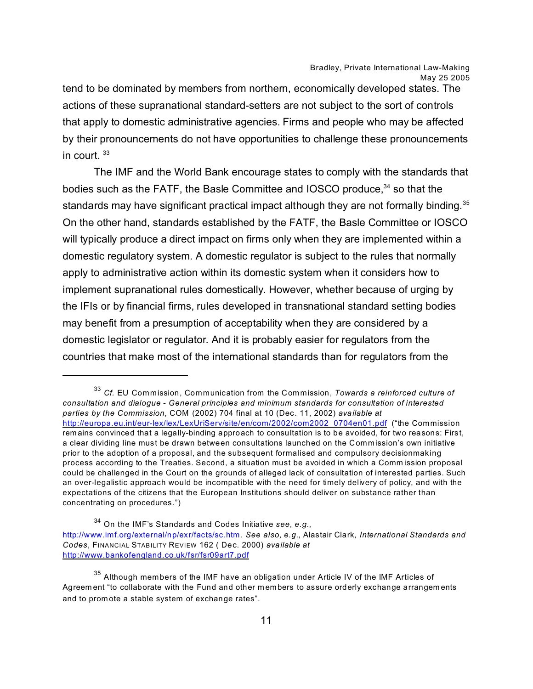tend to be dominated by members from northern, economically developed states. The actions of these supranational standard-setters are not subject to the sort of controls that apply to domestic administrative agencies. Firms and people who may be affected by their pronouncements do not have opportunities to challenge these pronouncements in court.  $33$ 

The IMF and the World Bank encourage states to comply with the standards that bodies such as the FATF, the Basle Committee and IOSCO produce,<sup>34</sup> so that the standards may have significant practical impact although they are not formally binding.<sup>35</sup> On the other hand, standards established by the FATF, the Basle Committee or IOSCO will typically produce a direct impact on firms only when they are implemented within a domestic regulatory system. A domestic regulator is subject to the rules that normally apply to administrative action within its domestic system when it considers how to implement supranational rules domestically. However, whether because of urging by the IFIs or by financial firms, rules developed in transnational standard setting bodies may benefit from a presumption of acceptability when they are considered by a domestic legislator or regulator. And it is probably easier for regulators from the countries that make most of the international standards than for regulators from the

<sup>33</sup> *Cf.* EU Commission, Communication from the Commission, *Towards a reinforced culture of consultation and dialogue - General principles and minimum standards for consultation of interested parties by the Commission*, COM (2002) 704 final at 10 (Dec. 11, 2002) *available at*  [http://europa.eu.int/eur-lex/lex/LexUriServ/site/en/com/2002/com2002\\_0704en01.pdf](http://europa.eu.int/eur-lex/lex/LexUriServ/site/en/com/2002/com2002_0704en01.pdf) ("the Commission rem ains convinced that a legally-binding approach to consultation is to be avoided, for two reasons: First, a clear dividing line must be drawn between consultations launched on the Commission's own initiative prior to the adoption of a proposal, and the subsequent formalised and compulsory decisionmaking process according to the Treaties. Second, a situation must be avoided in which a Comm ission proposal could be challenged in the Court on the grounds of alleged lack of consultation of interested parties. Such an over-legalistic approach would be incompatible with the need for timely delivery of policy, and with the expectations of the citizens that the European Institutions should deliver on substance rather than concentrating on procedures.")

<sup>34</sup> On the IMF's Standards and Codes Initiative *see*, *e.g.*, <http://www.imf.org/external/np/exr/facts/sc.htm>. *See also, e.g.*, Alastair Clark, *International Standards and Codes*, FINANCIAL STABILITY REVIEW 162 ( Dec. 2000) *available at*  <http://www.bankofengland.co.uk/fsr/fsr09art7.pdf>

 $35$  Although members of the IMF have an obligation under Article IV of the IMF Articles of Agreem ent "to collaborate with the Fund and other members to assure orderly exchange arrangements and to prom ote a stable system of exchange rates".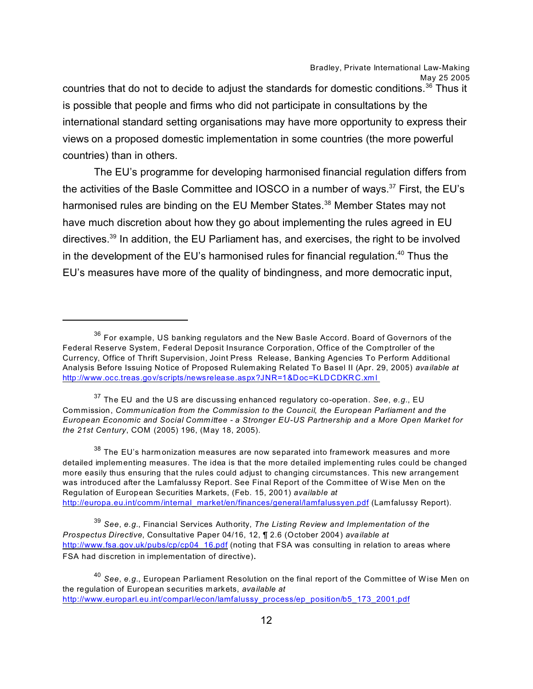countries that do not to decide to adjust the standards for domestic conditions.<sup>36</sup> Thus it is possible that people and firms who did not participate in consultations by the international standard setting organisations may have more opportunity to express their views on a proposed domestic implementation in some countries (the more powerful countries) than in others.

The EU's programme for developing harmonised financial regulation differs from the activities of the Basle Committee and IOSCO in a number of ways.<sup>37</sup> First, the EU's harmonised rules are binding on the EU Member States.<sup>38</sup> Member States may not have much discretion about how they go about implementing the rules agreed in EU directives.<sup>39</sup> In addition, the EU Parliament has, and exercises, the right to be involved in the development of the EU's harmonised rules for financial regulation.<sup>40</sup> Thus the EU's measures have more of the quality of bindingness, and more democratic input,

<sup>37</sup> The EU and the US are discussing enhanced regulatory co-operation. *See*, *e.g.*, EU Commission, *Communication from the Commission to the Council, the European Parliament and the European Economic and Social Committee - a Stronger EU-US Partnership and a More Open Market for the 21st Century*, COM (2005) 196, (May 18, 2005).

 $38$  The EU's harm onization measures are now separated into framework measures and more detailed implementing measures. The idea is that the more detailed implementing rules could be changed more easily thus ensuring that the rules could adjust to changing circumstances. This new arrangement was introduced after the Lamfalussy Report. See Final Report of the Committee of W ise Men on the Regulation of European Securities Markets, (Feb. 15, 2001) *available at* [http://europa.eu.int/comm/internal\\_market/en/finances/general/lamfalussyen.pdf](http://europa.eu.int/comm/internal_market/en/finances/general/lamfalussyen.pdf) (Lamfalussy Report).

<sup>39</sup> *See*, *e.g.*, Financial Services Authority, *The Listing Review and Implementation of the Prospectus Directive*, Consultative Paper 04/16, 12, ¶ 2.6 (October 2004) *available at*  [http://www.fsa.gov.uk/pubs/cp/cp04\\_16.pdf](http://www.fsa.gov.uk/pubs/cp/cp04_16.pdf) (noting that FSA was consulting in relation to areas where FSA had discretion in implementation of directive).

<sup>&</sup>lt;sup>36</sup> For example, US banking regulators and the New Basle Accord. Board of Governors of the Federal Reserve System, Federal Deposit Insurance Corporation, Office of the Comptroller of the Currency, Office of Thrift Supervision, Joint Press Release, Banking Agencies To Perform Additional Analysis Before Issuing Notice of Proposed Rulemaking Related To Basel II (Apr. 29, 2005) *available at*  [http://www.occ.treas.gov/scripts/newsrelease.aspx?JNR=1&Doc=KLDCDKRC.xm](http://www.occ.treas.gov/scripts/newsrelease.aspx?JNR=1&Doc=KLDCDKRC.xml ) l

<sup>40</sup> *See*, *e.g.*, European Parliament Resolution on the final report of the Committee of Wise Men on the regulation of European securities markets, *available at*  [http://www.europarl.eu.int/comparl/econ/lamfalussy\\_process/ep\\_position/b5\\_173\\_2001.pdf](http://www.europarl.eu.int/comparl/econ/lamfalussy_process/ep_position/b5_173_2001.pdf)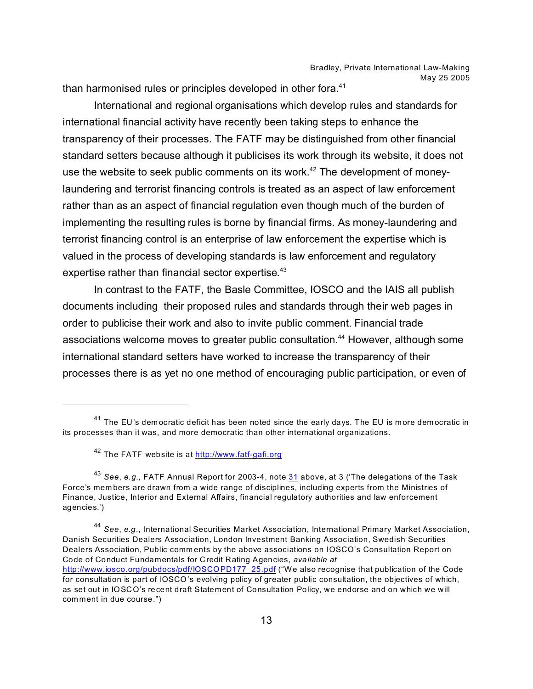than harmonised rules or principles developed in other fora.<sup>41</sup>

International and regional organisations which develop rules and standards for international financial activity have recently been taking steps to enhance the transparency of their processes. The FATF may be distinguished from other financial standard setters because although it publicises its work through its website, it does not use the website to seek public comments on its work.<sup>42</sup> The development of moneylaundering and terrorist financing controls is treated as an aspect of law enforcement rather than as an aspect of financial regulation even though much of the burden of implementing the resulting rules is borne by financial firms. As money-laundering and terrorist financing control is an enterprise of law enforcement the expertise which is valued in the process of developing standards is law enforcement and regulatory expertise rather than financial sector expertise.<sup>43</sup>

In contrast to the FATF, the Basle Committee, IOSCO and the IAIS all publish documents including their proposed rules and standards through their web pages in order to publicise their work and also to invite public comment. Financial trade associations welcome moves to greater public consultation.<sup>44</sup> However, although some international standard setters have worked to increase the transparency of their processes there is as yet no one method of encouraging public participation, or even of

 $41$  The EU's dem ocratic deficit has been noted since the early days. The EU is more dem ocratic in its processes than it was, and more democratic than other international organizations.

<sup>42</sup> The FATF website is at<http://www.fatf-gafi.org>

<sup>43</sup> *See*, *e.g.*, FATF Annual Report for 2003-4, note [31](#page-12-0) above, at 3 ('The delegations of the Task Force's mem bers are drawn from a wide range of disciplines, including experts from the Ministries of Finance, Justice, Interior and External Affairs, financial regulatory authorities and law enforcement agencies.')

<span id="page-12-0"></span><sup>44</sup> *See*, *e.g*., International Securities Market Association, International Primary Market Association, Danish Securities Dealers Association, London Investment Banking Association, Swedish Securities Dealers Association, Public comm ents by the above associations on IOSCO's Consultation Report on Code of Conduct Fundamentals for Credit Rating Agencies, *available at*  [http://www.iosco.org/pubdocs/pdf/IOSCOPD177\\_25.pdf](http://www.iosco.org/pubdocs/pdf/IOSCOPD177_25.pdf) ("We also recognise that publication of the Code for consultation is part of IOSCO's evolving policy of greater public consultation, the objectives of which, as set out in IOSCO's recent draft Statement of Consultation Policy, we endorse and on which we will comment in due course.")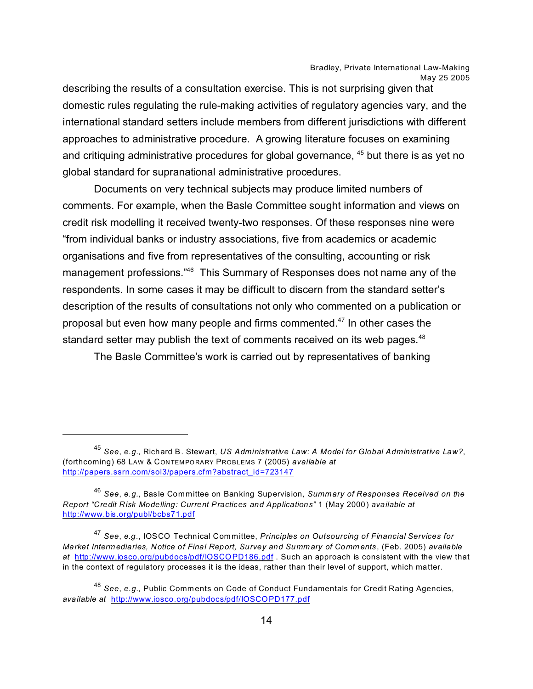describing the results of a consultation exercise. This is not surprising given that domestic rules regulating the rule-making activities of regulatory agencies vary, and the international standard setters include members from different jurisdictions with different approaches to administrative procedure. A growing literature focuses on examining and critiquing administrative procedures for global governance, <sup>45</sup> but there is as yet no global standard for supranational administrative procedures.

Documents on very technical subjects may produce limited numbers of comments. For example, when the Basle Committee sought information and views on credit risk modelling it received twenty-two responses. Of these responses nine were "from individual banks or industry associations, five from academics or academic organisations and five from representatives of the consulting, accounting or risk management professions."<sup>46</sup> This Summary of Responses does not name any of the respondents. In some cases it may be difficult to discern from the standard setter's description of the results of consultations not only who commented on a publication or proposal but even how many people and firms commented.<sup>47</sup> In other cases the standard setter may publish the text of comments received on its web pages.<sup>48</sup>

The Basle Committee's work is carried out by representatives of banking

<sup>45</sup> *See*, *e.g.*, Richard B. Stewart, *US Administrative Law: A Model for Global Administrative Law?*, (forthcoming) 68 LAW & CON TEM PORARY PROBLEMS 7 (2005) *available at* [http://papers.ssrn.com/sol3/papers.cfm?abstract\\_id=723147](http://papers.ssrn.com/sol3/papers.cfm?abstract_id=723147)

<sup>46</sup> *See*, *e.g.*, Basle Committee on Banking Supervision, *Summary of Responses Received on the Report "Credit Risk Modelling: Current Practices and Applications"* 1 (May 2000) *available at*  <http://www.bis.org/publ/bcbs71.pdf>

<sup>47</sup> *See*, *e.g*., IOSCO Technical Committee, *Principles on Outsourcing of Financial Services for Market Intermediaries, Notice of Final Report, Survey and Summ ary of Comm ents*, (Feb. 2005) *available at* <http://www.iosco.org/pubdocs/pdf/IOSCOPD186.pdf> . Such an approach is consistent with the view that in the context of regulatory processes it is the ideas, rather than their level of support, which matter.

<sup>48</sup> *See*, *e.g.*, Public Comments on Code of Conduct Fundamentals for Credit Rating Agencies, *available at* <http://www.iosco.org/pubdocs/pdf/IOSCOPD177.pdf>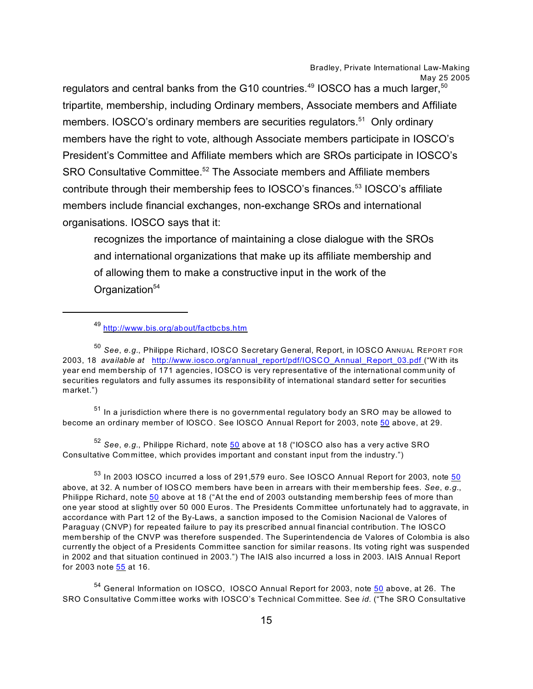regulators and central banks from the G10 countries.<sup>49</sup> IOSCO has a much larger,  $50$ tripartite, membership, including Ordinary members, Associate members and Affiliate members. IOSCO's ordinary members are securities regulators.<sup>51</sup> Only ordinary members have the right to vote, although Associate members participate in IOSCO's President's Committee and Affiliate members which are SROs participate in IOSCO's SRO Consultative Committee.<sup>52</sup> The Associate members and Affiliate members contribute through their membership fees to IOSCO's finances.<sup>53</sup> IOSCO's affiliate members include financial exchanges, non-exchange SROs and international organisations. IOSCO says that it:

recognizes the importance of maintaining a close dialogue with the SROs and international organizations that make up its affiliate membership and of allowing them to make a constructive input in the work of the Organization<sup>54</sup>

 $51$  In a jurisdiction where there is no governmental regulatory body an SRO may be allowed to become an ordinary member of IOSCO. See IOSCO Annual Report for 2003, note [50](#page-14-0) above, at 29.

<sup>52</sup> *See*, *e.g.*, Philippe Richard, note [50](#page-14-0) above at 18 ("IOSCO also has a very active SRO Consultative Com mittee, which provides important and constant input from the industry.")

 $<sup>53</sup>$  In 2003 IOSCO incurred a loss of 291,579 euro. See IOSCO Annual Report for 2003, note [50](#page-14-0)</sup> above, at 32. A number of IOSCO members have been in arrears with their m embership fees. *See*, *e.g.*, Philippe Richard, note [50](#page-14-0) above at 18 ("At the end of 2003 outstanding mem bership fees of more than one year stood at slightly over 50 000 Euros. The Presidents Committee unfortunately had to aggravate, in accordance with Part 12 of the By-Laws, a sanction imposed to the Comision Nacional de Valores of Paraguay (CNVP) for repeated failure to pay its prescribed annual financial contribution. The IOSCO mem bership of the CNVP was therefore suspended. The Superintendencia de Valores of Colombia is also currently the object of a Presidents Committee sanction for similar reasons. Its voting right was suspended in 2002 and that situation continued in 2003.") The IAIS also incurred a loss in 2003. IAIS Annual Report for 2003 note [55](#page-15-0) at 16.

<span id="page-14-0"></span><sup>54</sup> General Information on IOSCO, IOSCO Annual Report for 2003, note [50](#page-14-0) above, at 26. The SRO Consultative Comm ittee works with IOSCO's Technical Committee. See *id.* ("The SRO Consultative

<sup>49</sup> <http://www.bis.org/about/factbcbs.htm>

<sup>50</sup> *See*, *e.g.*, Philippe Richard, IOSCO Secretary General, Report, in IOSCO ANNUAL REPORT FOR 2003, 18 *available at* [http://www.iosco.org/annual\\_report/pdf/IOSCO\\_Annual\\_Report\\_03.pdf](http://www.iosco.org/annual_report/pdf/IOSCO_Annual_Report_03.pdf ) ("W ith its year end mem bership of 171 agencies, IOSCO is very representative of the international comm unity of securities regulators and fully assumes its responsibility of international standard setter for securities market.")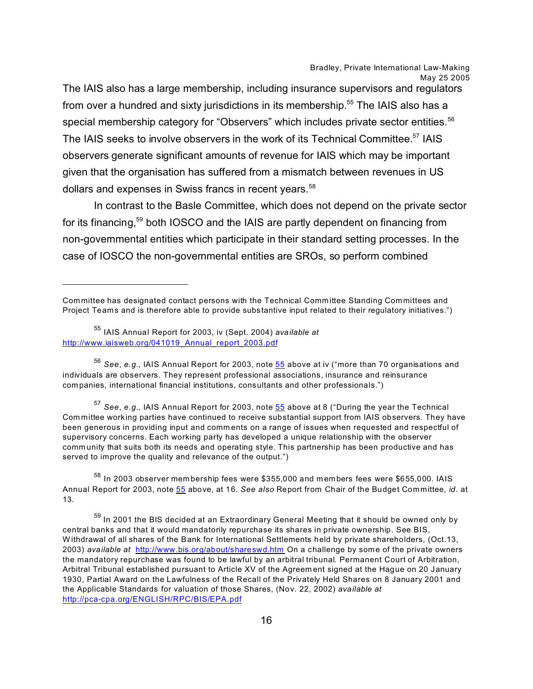The IAIS also has a large membership, including insurance supervisors and regulators from over a hundred and sixty jurisdictions in its membership.<sup>55</sup> The IAIS also has a special membership category for "Observers" which includes private sector entities.<sup>56</sup> The IAIS seeks to involve observers in the work of its Technical Committee.<sup>57</sup> IAIS observers generate significant amounts of revenue for IAIS which may be important given that the organisation has suffered from a mismatch between revenues in US dollars and expenses in Swiss francs in recent years.<sup>58</sup>

In contrast to the Basle Committee, which does not depend on the private sector for its financing,<sup>59</sup> both IOSCO and the IAIS are partly dependent on financing from non-governmental entities which participate in their standard setting processes. In the case of IOSCO the non-governmental entities are SROs, so perform combined

<sup>56</sup> *See*, *e.g.*, IAIS Annual Report for 2003, note [55](#page-15-0) above at iv ("more than 70 organisations and individuals are observers. They represent professional associations, insurance and reinsurance companies, international financial institutions, consultants and other professionals.")

<sup>57</sup> *See*, *e.g.*, IAIS Annual Report for 2003, note [55](#page-15-0) above at 8 ("During the year the Technical Com mittee working parties have continued to receive substantial support from IAIS observers. They have been generous in providing input and comm ents on a range of issues when requested and respectful of supervisory concerns. Each working party has developed a unique relationship with the observer comm unity that suits both its needs and operating style. This partnership has been productive and has served to improve the quality and relevance of the output.")

 $<sup>58</sup>$  In 2003 observer membership fees were \$355,000 and members fees were \$655,000. IAIS</sup> Annual Report for 2003, note [55](#page-15-0) above, at 16. *See also* Report from Chair of the Budget Committee, *id*. at 13.

Committee has designated contact persons with the Technical Committee Standing Committees and Project Teams and is therefore able to provide substantive input related to their regulatory initiatives.")

<sup>55</sup> IAIS Annual Report for 2003, iv (Sept. 2004) *available at*  [http://www.iaisweb.org/041019\\_Annual\\_report\\_2003.pdf](http://www.iaisweb.org/041019_Annual_report_2003.pdf)

<span id="page-15-0"></span> $59$  In 2001 the BIS decided at an Extraordinary General Meeting that it should be owned only by central banks and that it would mandatorily repurchase its shares in private ownership. See BIS, W ithdrawal of all shares of the Bank for International Settlements held by private shareholders, (Oct.13, 2003) *available at* <http://www.bis.org/about/shareswd.htm> On a challenge by some of the private owners the mandatory repurchase was found to be lawful by an arbitral tribunal. Permanent Court of Arbitration, Arbitral Tribunal established pursuant to Article XV of the Agreem ent signed at the Hague on 20 January 1930, Partial Award on the Lawfulness of the Recall of the Privately Held Shares on 8 January 2001 and the Applicable Standards for valuation of those Shares, (Nov. 22, 2002) *available at*  <http://pca-cpa.org/ENGLISH/RPC/BIS/EPA.pdf>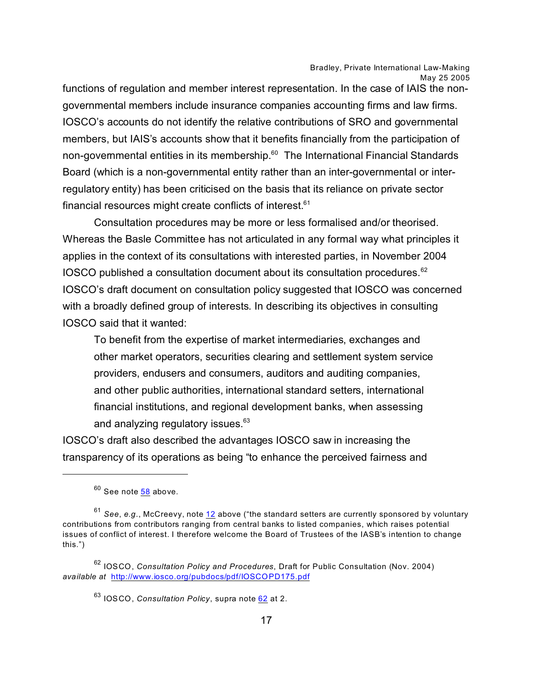functions of regulation and member interest representation. In the case of IAIS the nongovernmental members include insurance companies accounting firms and law firms. IOSCO's accounts do not identify the relative contributions of SRO and governmental members, but IAIS's accounts show that it benefits financially from the participation of non-governmental entities in its membership.<sup>60</sup> The International Financial Standards Board (which is a non-governmental entity rather than an inter-governmental or interregulatory entity) has been criticised on the basis that its reliance on private sector financial resources might create conflicts of interest.<sup>61</sup>

Consultation procedures may be more or less formalised and/or theorised. Whereas the Basle Committee has not articulated in any formal way what principles it applies in the context of its consultations with interested parties, in November 2004 IOSCO published a consultation document about its consultation procedures.<sup>62</sup> IOSCO's draft document on consultation policy suggested that IOSCO was concerned with a broadly defined group of interests. In describing its objectives in consulting IOSCO said that it wanted:

To benefit from the expertise of market intermediaries, exchanges and other market operators, securities clearing and settlement system service providers, endusers and consumers, auditors and auditing companies, and other public authorities, international standard setters, international financial institutions, and regional development banks, when assessing and analyzing regulatory issues.<sup>63</sup>

IOSCO's draft also described the advantages IOSCO saw in increasing the transparency of its operations as being "to enhance the perceived fairness and

 $60$  See note  $58$  above.

<sup>61</sup> *See*, *e.g*., McCreevy, note [12](#page-16-0) above ("the standard setters are currently sponsored by voluntary contributions from contributors ranging from central banks to listed companies, which raises potential issues of conflict of interest. I therefore welcome the Board of Trustees of the IASB's intention to change this.")

<sup>62</sup> IOSCO, *Consultation Policy and Procedures*, Draft for Public Consultation (Nov. 2004) *available at* <http://www.iosco.org/pubdocs/pdf/IOSCOPD175.pdf>

<span id="page-16-0"></span><sup>63</sup> IOSCO, *Consultation Policy*, supra note [62](#page-16-0) at 2.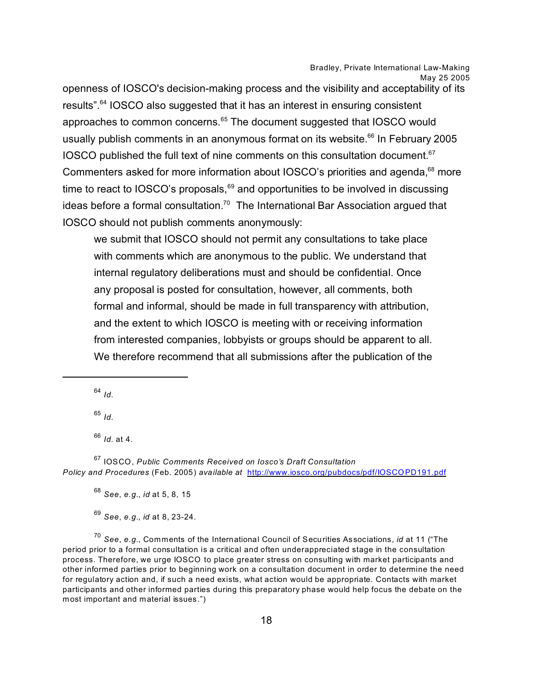openness of IOSCO's decision-making process and the visibility and acceptability of its results".<sup>64</sup> IOSCO also suggested that it has an interest in ensuring consistent approaches to common concerns.<sup>65</sup> The document suggested that IOSCO would usually publish comments in an anonymous format on its website.<sup>66</sup> In February 2005 IOSCO published the full text of nine comments on this consultation document.<sup>67</sup> Commenters asked for more information about IOSCO's priorities and agenda,<sup>68</sup> more time to react to IOSCO's proposals, $69$  and opportunities to be involved in discussing ideas before a formal consultation.<sup>70</sup> The International Bar Association argued that IOSCO should not publish comments anonymously:

we submit that IOSCO should not permit any consultations to take place with comments which are anonymous to the public. We understand that internal regulatory deliberations must and should be confidential. Once any proposal is posted for consultation, however, all comments, both formal and informal, should be made in full transparency with attribution, and the extent to which IOSCO is meeting with or receiving information from interested companies, lobbyists or groups should be apparent to all. We therefore recommend that all submissions after the publication of the

<sup>64</sup> *Id.*

<sup>65</sup> *Id.*

<sup>66</sup> *Id.* at 4.

<sup>67</sup> IOSCO, *Public Comments Received on Iosco's Draft Consultation Policy and Procedures* (Feb. 2005) *available at* <http://www.iosco.org/pubdocs/pdf/IOSCOPD191.pdf>

<sup>68</sup> *See*, *e.g.*, *id* at 5, 8, 15

<sup>69</sup> *See*, *e.g.*, *id* at 8, 23-24.

<sup>70</sup> *See*, *e.g.*, Comments of the International Council of Securities Associations, *id* at 11 ("The period prior to a formal consultation is a critical and often underappreciated stage in the consultation process. Therefore, we urge IOSCO to place greater stress on consulting with market participants and other informed parties prior to beginning work on a consultation document in order to determine the need for regulatory action and, if such a need exists, what action would be appropriate. Contacts with market participants and other informed parties during this preparatory phase would help focus the debate on the most important and material issues.")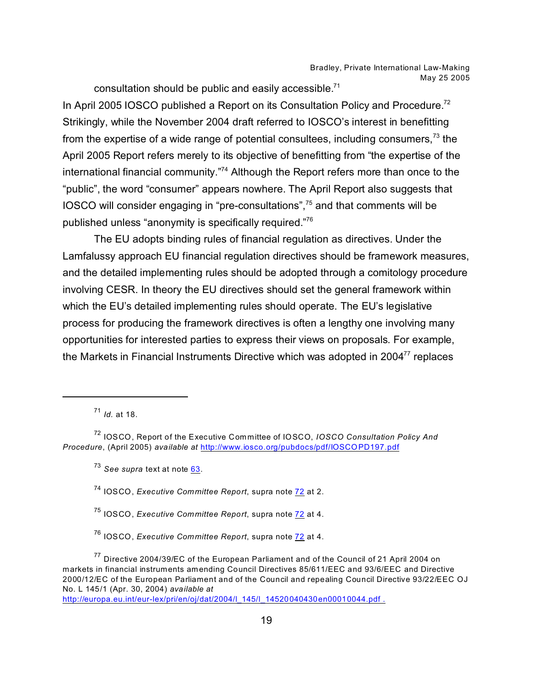consultation should be public and easily accessible.<sup>71</sup>

In April 2005 IOSCO published a Report on its Consultation Policy and Procedure.<sup>72</sup> Strikingly, while the November 2004 draft referred to IOSCO's interest in benefitting from the expertise of a wide range of potential consultees, including consumers,  $73$  the April 2005 Report refers merely to its objective of benefitting from "the expertise of the international financial community."<sup>74</sup> Although the Report refers more than once to the "public", the word "consumer" appears nowhere. The April Report also suggests that IOSCO will consider engaging in "pre-consultations",<sup>75</sup> and that comments will be published unless "anonymity is specifically required." 76

The EU adopts binding rules of financial regulation as directives. Under the Lamfalussy approach EU financial regulation directives should be framework measures, and the detailed implementing rules should be adopted through a comitology procedure involving CESR. In theory the EU directives should set the general framework within which the EU's detailed implementing rules should operate. The EU's legislative process for producing the framework directives is often a lengthy one involving many opportunities for interested parties to express their views on proposals. For example, the Markets in Financial Instruments Directive which was adopted in  $2004<sup>77</sup>$  replaces

<span id="page-18-0"></span>[http://europa.eu.int/eur-lex/pri/en/oj/dat/2004/l\\_145/l\\_14520040430en00010044.pdf .](http://europa.eu.int/eur-lex/pri/en/oj/dat/2004/l_145/l_14520040430en00010044.pdf .)

<sup>71</sup> *Id.* at 18.

<sup>72</sup> IOSCO, Report of the Executive Committee of IOSCO, *IOSCO Consultation Policy And Procedure*, (April 2005) *available at* <http://www.iosco.org/pubdocs/pdf/IOSCOPD197.pdf>

<sup>73</sup> *See supra* text at note [63](#page-18-0).

<sup>74</sup> IOSCO, *Executive Committee Report*, supra note [72](#page-18-0) at 2.

<sup>75</sup> IOSCO, *Executive Committee Report*, supra note [72](#page-18-0) at 4.

<sup>76</sup> IOSCO, *Executive Committee Report*, supra note [72](#page-18-0) at 4.

 $77$  Directive 2004/39/EC of the European Parliament and of the Council of 21 April 2004 on markets in financial instruments amending Council Directives 85/611/EEC and 93/6/EEC and Directive 2000/12/EC of the European Parliament and of the Council and repealing Council Directive 93/22/EEC OJ No. L 145/1 (Apr. 30, 2004) *available at*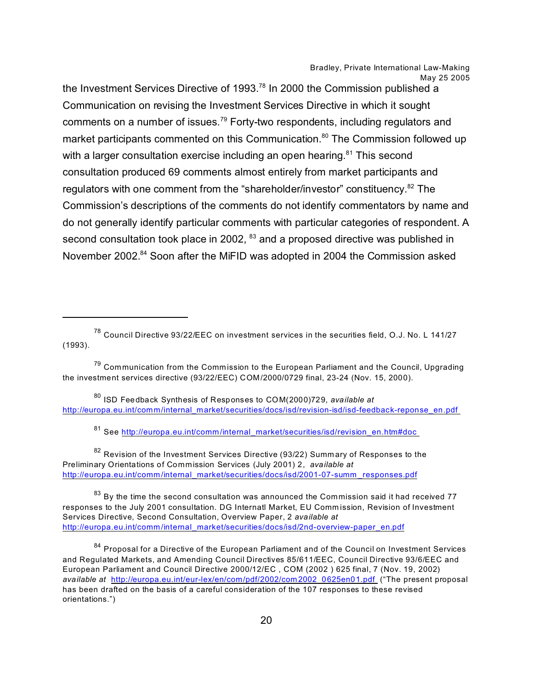the Investment Services Directive of 1993.<sup>78</sup> In 2000 the Commission published a Communication on revising the Investment Services Directive in which it sought comments on a number of issues.<sup>79</sup> Forty-two respondents, including regulators and market participants commented on this Communication.<sup>80</sup> The Commission followed up with a larger consultation exercise including an open hearing.<sup>81</sup> This second consultation produced 69 comments almost entirely from market participants and regulators with one comment from the "shareholder/investor" constituency.<sup>82</sup> The Commission's descriptions of the comments do not identify commentators by name and do not generally identify particular comments with particular categories of respondent. A second consultation took place in 2002, <sup>83</sup> and a proposed directive was published in November 2002.<sup>84</sup> Soon after the MiFID was adopted in 2004 the Commission asked

<sup>78</sup> Council Directive 93/22/EEC on investment services in the securities field, O.J. No. L 141/27 (1993).

<sup>80</sup> ISD Feedback Synthesis of Responses to COM(2000)729, *available at*  [http://europa.eu.int/comm/internal\\_market/securities/docs/isd/revision-isd/isd-feedback-reponse\\_en.pdf](http://europa.eu.int/comm/internal_market/securities/docs/isd/revision-isd/isd-feedback-reponse_en.pdf ) 

81 See http://europa.eu.int/comm/internal\_market/securities/isd/revision\_en.htm#doc

<sup>82</sup> Revision of the Investment Services Directive (93/22) Summary of Responses to the Preliminary Orientations of Commission Services (July 2001) 2, *available at*  [http://europa.eu.int/comm/internal\\_market/securities/docs/isd/2001-07-summ](http://europa.eu.int/comm/internal_market/securities/docs/isd/2001-07-summ_responses.pdf) \_responses.pdf

 $83$  By the time the second consultation was announced the Commission said it had received 77 responses to the July 2001 consultation. DG Internatl Market, EU Comm ission, Revision of Investment Services Directive, Second Consultation, Overview Paper, 2 *available at*  [http://europa.eu.int/comm/internal\\_market/securities/docs/isd/2nd-overview-paper\\_en.pdf](http://europa.eu.int/comm/internal_market/securities/docs/isd/2nd-overview-paper_en.pdf)

84 Proposal for a Directive of the European Parliament and of the Council on Investment Services and Regulated Markets, and Amending Council Directives 85/611/EEC, Council Directive 93/6/EEC and European Parliament and Council Directive 2000/12/EC , COM (2002 ) 625 final, 7 (Nov. 19, 2002) *available at* [http://europa.eu.int/eur-lex/en/com/pdf/2002/com](http://europa.eu.int/eur-lex/en/com/pdf/2002/com2002_0625en01.pdf ) 2002\_0625en01.pdf ("The present proposal has been drafted on the basis of a careful consideration of the 107 responses to these revised orientations.")

 $79$  Communication from the Commission to the European Parliament and the Council, Upgrading the investment services directive (93/22/EEC) COM/2000/0729 final, 23-24 (Nov. 15, 2000).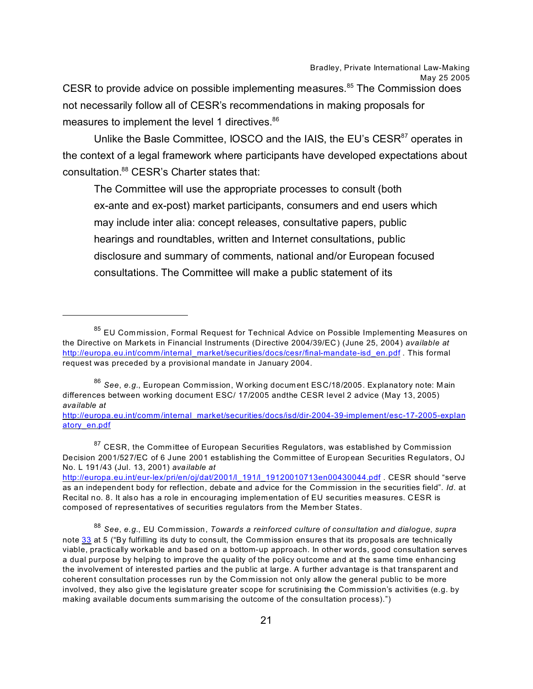CESR to provide advice on possible implementing measures.<sup>85</sup> The Commission does not necessarily follow all of CESR's recommendations in making proposals for measures to implement the level 1 directives.<sup>86</sup>

Unlike the Basle Committee, IOSCO and the IAIS, the EU's CESR<sup>87</sup> operates in the context of a legal framework where participants have developed expectations about consultation.<sup>88</sup> CESR's Charter states that:

The Committee will use the appropriate processes to consult (both ex-ante and ex-post) market participants, consumers and end users which may include inter alia: concept releases, consultative papers, public hearings and roundtables, written and Internet consultations, public disclosure and summary of comments, national and/or European focused consultations. The Committee will make a public statement of its

<sup>86</sup> *See*, *e.g.*, European Commission, W orking docum ent ESC/18/2005. Explanatory note: Main differences between working document ESC/ 17/2005 andthe CESR level 2 advice (May 13, 2005) *available at* 

[http://europa.eu.int/comm/internal\\_market/securities/docs/isd/dir-2004-39-implement/esc-17-2005-explan](http://europa.eu.int/comm/internal_market/securities/docs/isd/dir-2004-39-implement/esc-17-2005-explanatory_en.pdf) [atory\\_en.pdf](http://europa.eu.int/comm/internal_market/securities/docs/isd/dir-2004-39-implement/esc-17-2005-explanatory_en.pdf)

<sup>87</sup> CESR, the Committee of European Securities Regulators, was established by Commission Decision 2001/527/EC of 6 June 2001 establishing the Committee of European Securities Regulators, OJ No. L 191/43 (Jul. 13, 2001) *available at* 

<sup>&</sup>lt;sup>85</sup> EU Commission, Formal Request for Technical Advice on Possible Implementing Measures on the Directive on Markets in Financial Instruments (Directive 2004/39/EC) (June 25, 2004) *available at* [http://europa.eu.int/comm/internal\\_market/securities/docs/cesr/final-mandate-isd\\_en.pdf](http://europa.eu.int/comm/internal_market/securities/docs/cesr/final-mandate-isd_en.pdf) . This formal request was preceded by a provisional mandate in January 2004.

[http://europa.eu.int/eur-lex/pri/en/oj/dat/2001/l\\_191/l\\_19120010713en00430044.pdf](http://europa.eu.int/eur-lex/pri/en/oj/dat/2001/l_191/l_19120010713en00430044.pdf) . CESR should "serve as an independent body for reflection, debate and advice for the Commission in the securities field". *Id*. at Recital no. 8. It also has a role in encouraging implementation of EU securities m easures. CESR is composed of representatives of securities regulators from the Mem ber States.

<span id="page-20-0"></span><sup>88</sup> *See*, *e.g.*, EU Commission, *Towards a reinforced culture of consultation and dialogue*, *supra* note [33](#page-20-0) at 5 ("By fulfilling its duty to consult, the Commission ensures that its proposals are technically viable, practically workable and based on a bottom-up approach. In other words, good consultation serves a dual purpose by helping to improve the quality of the policy outcome and at the same time enhancing the involvement of interested parties and the public at large. A further advantage is that transparent and coherent consultation processes run by the Com mission not only allow the general public to be more involved, they also give the legislature greater scope for scrutinising the Commission's activities (e.g. by making available documents summarising the outcome of the consultation process).")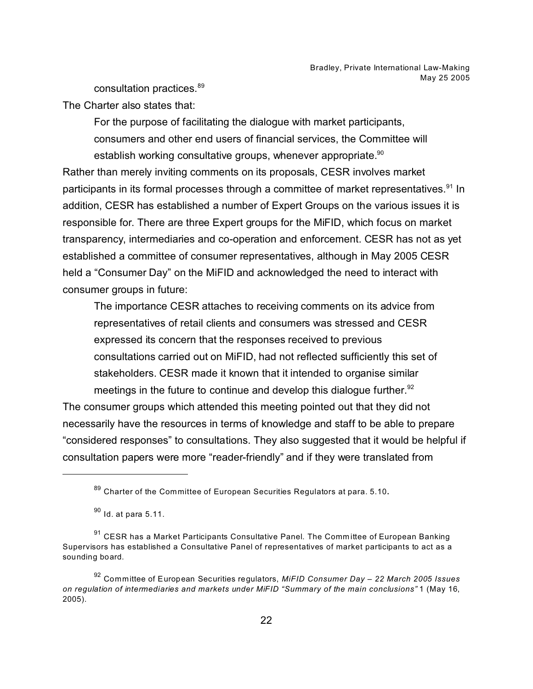consultation practices.<sup>89</sup>

The Charter also states that:

For the purpose of facilitating the dialogue with market participants, consumers and other end users of financial services, the Committee will establish working consultative groups, whenever appropriate.<sup>90</sup>

Rather than merely inviting comments on its proposals, CESR involves market participants in its formal processes through a committee of market representatives.<sup>91</sup> In addition, CESR has established a number of Expert Groups on the various issues it is responsible for. There are three Expert groups for the MiFID, which focus on market transparency, intermediaries and co-operation and enforcement. CESR has not as yet established a committee of consumer representatives, although in May 2005 CESR held a "Consumer Day" on the MiFID and acknowledged the need to interact with consumer groups in future:

The importance CESR attaches to receiving comments on its advice from representatives of retail clients and consumers was stressed and CESR expressed its concern that the responses received to previous consultations carried out on MiFID, had not reflected sufficiently this set of stakeholders. CESR made it known that it intended to organise similar meetings in the future to continue and develop this dialogue further.<sup>92</sup>

The consumer groups which attended this meeting pointed out that they did not necessarily have the resources in terms of knowledge and staff to be able to prepare "considered responses" to consultations. They also suggested that it would be helpful if consultation papers were more "reader-friendly" and if they were translated from

 $89$  Charter of the Committee of European Securities Regulators at para. 5.10.

 $90$  Id. at para 5.11.

<sup>&</sup>lt;sup>91</sup> CESR has a Market Participants Consultative Panel. The Committee of European Banking Supervisors has established a Consultative Panel of representatives of market participants to act as a sounding board.

<sup>92</sup> Committee of European Securities regulators, *MiFID Consumer Day – 22 March 2005 Issues on regulation of intermediaries and markets under MiFID "Summary of the main conclusions"* 1 (May 16, 2005).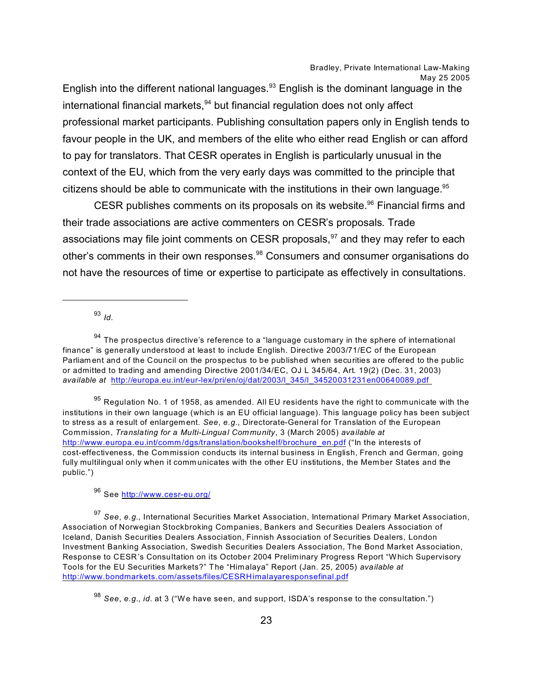English into the different national languages. $93$  English is the dominant language in the international financial markets,  $94$  but financial regulation does not only affect professional market participants. Publishing consultation papers only in English tends to favour people in the UK, and members of the elite who either read English or can afford to pay for translators. That CESR operates in English is particularly unusual in the context of the EU, which from the very early days was committed to the principle that citizens should be able to communicate with the institutions in their own language. $95$ 

CESR publishes comments on its proposals on its website.<sup>96</sup> Financial firms and their trade associations are active commenters on CESR's proposals. Trade associations may file joint comments on CESR proposals,  $97$  and they may refer to each other's comments in their own responses.<sup>98</sup> Consumers and consumer organisations do not have the resources of time or expertise to participate as effectively in consultations.

<sup>93</sup> *Id.*

 $94$  The prospectus directive's reference to a "language customary in the sphere of international finance" is generally understood at least to include English. Directive 2003/71/EC of the European Parliam ent and of the Council on the prospectus to be published when securities are offered to the public or admitted to trading and amending Directive 2001/34/EC, OJ L 345/64, Art. 19(2) (Dec. 31, 2003) *available at* [http://europa.eu.int/eur-lex/pri/en/oj/dat/2003/l\\_345/l\\_34520031231en00640089.pdf](http://europa.eu.int/eur-lex/pri/en/oj/dat/2003/l_345/l_34520031231en00640089.pdf ) 

 $95$  Regulation No. 1 of 1958, as amended. All EU residents have the right to communicate with the institutions in their own language (which is an EU official language). This language policy has been subject to stress as a result of enlargem ent. *See*, *e.g.*, Directorate-General for Translation of the European Commission, *Translating for a Multi-Lingual Community*, 3 (March 2005) *available at*  [http://www.europa.eu.int/comm/dgs/translation/bookshelf/brochure\\_en.pdf](http://www.europa.eu.int/comm/dgs/translation/bookshelf/brochure_en.pdf) ("In the interests of cost-effectiveness, the Commission conducts its internal business in English, French and German, going fully multilingual only when it comm unicates with the other EU institutions, the Member States and the public.")

<sup>96</sup> See<http://www.cesr-eu.org/>

<sup>97</sup> *See*, *e.g.*, International Securities Market Association, International Primary Market Association, Association of Norwegian Stockbroking Companies, Bankers and Securities Dealers Association of Iceland, Danish Securities Dealers Association, Finnish Association of Securities Dealers, London Investment Banking Association, Swedish Securities Dealers Association, The Bond Market Association, Response to CESR's Consultation on its October 2004 Preliminary Progress Report "Which Supervisory Tools for the EU Securities Markets?" The "Himalaya" Report (Jan. 25, 2005) *available at*  <http://www.bondmarkets.com/assets/files/CESRHimalayaresponsefinal.pdf>

<sup>98</sup> *See*, *e.g.*, *id.* at 3 ("We have seen, and support, ISDA's response to the consultation.")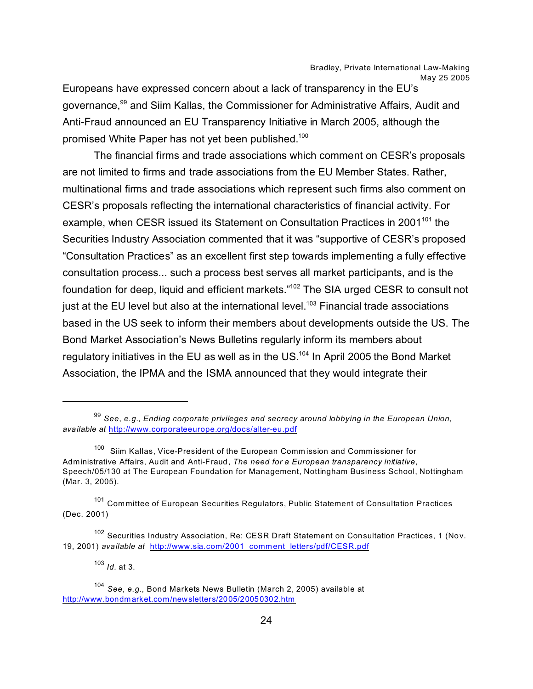Europeans have expressed concern about a lack of transparency in the EU's governance,<sup>99</sup> and Siim Kallas, the Commissioner for Administrative Affairs, Audit and Anti-Fraud announced an EU Transparency Initiative in March 2005, although the promised White Paper has not yet been published.<sup>100</sup>

The financial firms and trade associations which comment on CESR's proposals are not limited to firms and trade associations from the EU Member States. Rather, multinational firms and trade associations which represent such firms also comment on CESR's proposals reflecting the international characteristics of financial activity. For example, when CESR issued its Statement on Consultation Practices in 2001<sup>101</sup> the Securities Industry Association commented that it was "supportive of CESR's proposed "Consultation Practices" as an excellent first step towards implementing a fully effective consultation process... such a process best serves all market participants, and is the foundation for deep, liquid and efficient markets."<sup>102</sup> The SIA urged CESR to consult not just at the EU level but also at the international level.<sup>103</sup> Financial trade associations based in the US seek to inform their members about developments outside the US. The Bond Market Association's News Bulletins regularly inform its members about regulatory initiatives in the EU as well as in the US.<sup>104</sup> In April 2005 the Bond Market Association, the IPMA and the ISMA announced that they would integrate their

<sup>103</sup> *Id.* at 3.

<sup>99</sup> *See*, *e.g.*, *Ending corporate privileges and secrecy around lobbying in the European Union*, *available at* <http://www.corporateeurope.org/docs/alter-eu.pdf>

<sup>&</sup>lt;sup>100</sup> Siim Kallas, Vice-President of the European Commission and Commissioner for Administrative Affairs, Audit and Anti-Fraud, *The need for a European transparency initiative*, Speech/05/130 at The European Foundation for Management, Nottingham Business School, Nottingham (Mar. 3, 2005).

<sup>&</sup>lt;sup>101</sup> Committee of European Securities Regulators, Public Statement of Consultation Practices (Dec. 2001)

<sup>102</sup> Securities Industry Association, Re: CESR Draft Statement on Consultation Practices, 1 (Nov. 19, 2001) *available at* [http://www.sia.com/2001\\_comment\\_letters/pdf/CESR.pdf](http://www.sia.com/2001_comment_letters/pdf/CESR.pdf)

<sup>104</sup> *See*, *e.g.*, Bond Markets News Bulletin (March 2, 2005) available at <http://www.bondmarket.com/newsletters/2005/20050302.htm>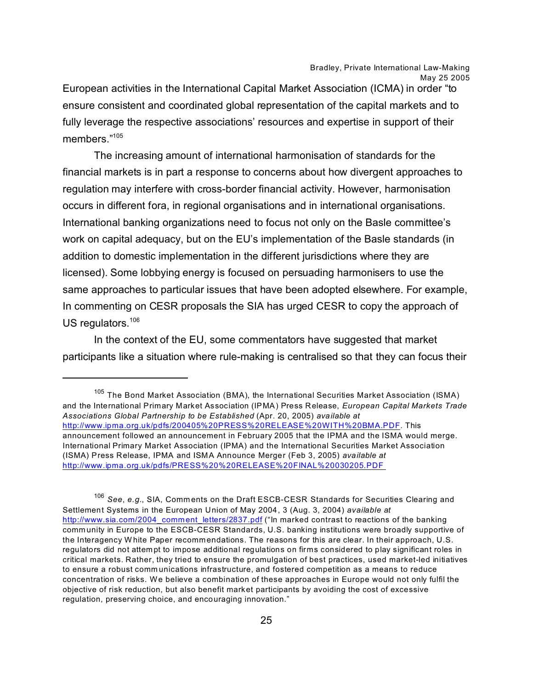European activities in the International Capital Market Association (ICMA) in order "to ensure consistent and coordinated global representation of the capital markets and to fully leverage the respective associations' resources and expertise in support of their members."<sup>105</sup>

The increasing amount of international harmonisation of standards for the financial markets is in part a response to concerns about how divergent approaches to regulation may interfere with cross-border financial activity. However, harmonisation occurs in different fora, in regional organisations and in international organisations. International banking organizations need to focus not only on the Basle committee's work on capital adequacy, but on the EU's implementation of the Basle standards (in addition to domestic implementation in the different jurisdictions where they are licensed). Some lobbying energy is focused on persuading harmonisers to use the same approaches to particular issues that have been adopted elsewhere. For example, In commenting on CESR proposals the SIA has urged CESR to copy the approach of US regulators.<sup>106</sup>

In the context of the EU, some commentators have suggested that market participants like a situation where rule-making is centralised so that they can focus their

<sup>106</sup> *See*, *e.g.*, SIA, Comm ents on the Draft ESCB-CESR Standards for Securities Clearing and Settlement Systems in the European Union of May 2004, 3 (Aug. 3, 2004) *available at* [http://www.sia.com/2004\\_comment\\_letters/2837.pdf](http://www.sia.com/2004_comment_letters/2837.pdf) ("In marked contrast to reactions of the banking comm unity in Europe to the ESCB-CESR Standards, U.S. banking institutions were broadly supportive of the Interagency W hite Paper recommendations. The reasons for this are clear. In their approach, U.S. regulators did not attem pt to impose additional regulations on firms considered to play significant roles in critical markets. Rather, they tried to ensure the promulgation of best practices, used market-led initiatives to ensure a robust comm unications infrastructure, and fostered competition as a means to reduce concentration of risks. We believe a combination of these approaches in Europe would not only fulfil the objective of risk reduction, but also benefit market participants by avoiding the cost of excessive regulation, preserving choice, and encouraging innovation."

<sup>&</sup>lt;sup>105</sup> The Bond Market Association (BMA), the International Securities Market Association (ISMA) and the International Primary Market Association (IPMA) Press Release, *European Capital Markets Trade Associations Global Partnership to be Established* (Apr. 20, 2005) *available at*  <http://www.ipma.org.uk/pdfs/200405%20PRESS%20RELEASE%20WITH%20BMA.PDF>. This announcement followed an announcement in February 2005 that the IPMA and the ISMA would merge. International Primary Market Association (IPMA) and the International Securities Market Association (ISMA) Press Release, IPMA and ISMA Announce Merger (Feb 3, 2005) *available at*  [http://www.ipma.org.uk/pdfs/PRESS%20%20RELEASE%20FINAL%20030205.PDF](http://www.ipma.org.uk/pdfs/PRESS%20%20RELEASE%20FINAL%20030205.PDF )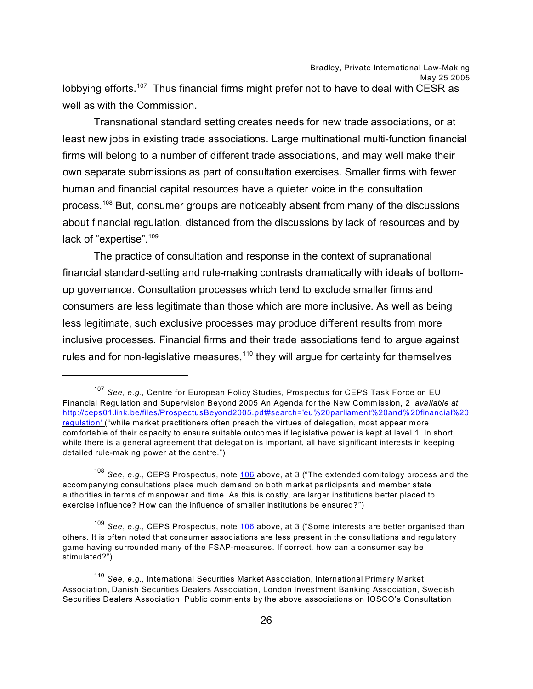lobbying efforts.<sup>107</sup> Thus financial firms might prefer not to have to deal with CESR as well as with the Commission.

Transnational standard setting creates needs for new trade associations, or at least new jobs in existing trade associations. Large multinational multi-function financial firms will belong to a number of different trade associations, and may well make their own separate submissions as part of consultation exercises. Smaller firms with fewer human and financial capital resources have a quieter voice in the consultation process.<sup>108</sup> But, consumer groups are noticeably absent from many of the discussions about financial regulation, distanced from the discussions by lack of resources and by lack of "expertise".<sup>109</sup>

The practice of consultation and response in the context of supranational financial standard-setting and rule-making contrasts dramatically with ideals of bottomup governance. Consultation processes which tend to exclude smaller firms and consumers are less legitimate than those which are more inclusive. As well as being less legitimate, such exclusive processes may produce different results from more inclusive processes. Financial firms and their trade associations tend to argue against rules and for non-legislative measures, $110$  they will argue for certainty for themselves

<sup>107</sup> *See*, *e.g.*, Centre for European Policy Studies, Prospectus for CEPS Task Force on EU Financial Regulation and Supervision Beyond 2005 An Agenda for the New Comm ission, 2 *available at*  [http://ceps01.link.be/files/ProspectusBeyond2005.pdf#search='eu%20parliament%20and%20financial%20](http://ceps01.link.be/files/ProspectusBeyond2005.pdf#search=) [regulation'](http://ceps01.link.be/files/ProspectusBeyond2005.pdf#search=) ("while market practitioners often preach the virtues of delegation, most appear more com fortable of their capacity to ensure suitable outcomes if legislative power is kept at level 1. In short, while there is a general agreement that delegation is important, all have significant interests in keeping detailed rule-making power at the centre.")

<sup>108</sup> *See*, *e.g.*, CEPS Prospectus, note [106](#page-25-0) above, at 3 ("The extended comitology process and the accompanying consultations place much dem and on both m arket participants and member state authorities in terms of m anpower and time. As this is costly, are larger institutions better placed to exercise influence? How can the influence of smaller institutions be ensured?")

<sup>109</sup> *See*, *e.g.*, CEPS Prospectus, note [106](#page-25-0) above, at 3 ("Some interests are better organised than others. It is often noted that consumer associations are less present in the consultations and regulatory game having surrounded many of the FSAP-measures. If correct, how can a consumer say be stimulated?")

<span id="page-25-0"></span><sup>110</sup> *See*, *e.g.*, International Securities Market Association, International Primary Market Association, Danish Securities Dealers Association, London Investment Banking Association, Swedish Securities Dealers Association, Public comm ents by the above associations on IOSCO's Consultation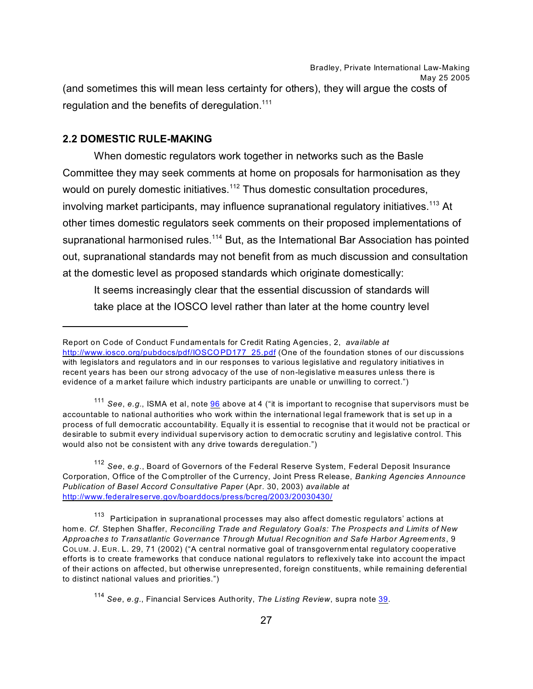Bradley, Private International Law-Making May 25 2005 (and sometimes this will mean less certainty for others), they will argue the costs of regulation and the benefits of deregulation. $111$ 

#### **2.2 DOMESTIC RULE-MAKING**

When domestic regulators work together in networks such as the Basle Committee they may seek comments at home on proposals for harmonisation as they would on purely domestic initiatives.<sup>112</sup> Thus domestic consultation procedures, involving market participants, may influence supranational regulatory initiatives.<sup>113</sup> At other times domestic regulators seek comments on their proposed implementations of supranational harmonised rules.<sup>114</sup> But, as the International Bar Association has pointed out, supranational standards may not benefit from as much discussion and consultation at the domestic level as proposed standards which originate domestically:

It seems increasingly clear that the essential discussion of standards will take place at the IOSCO level rather than later at the home country level

113 Participation in supranational processes may also affect domestic regulators' actions at hom e. *Cf.* Stephen Shaffer, *Reconciling Trade and Regulatory Goals: The Prospects and Limits of New Approaches to Transatlantic Governance Through Mutual Recognition and Safe Harbor Agreem ents*, 9 COLUM. J. EUR. L. 29, 71 (2002) ("A central normative goal of transgovernm ental regulatory cooperative efforts is to create frameworks that conduce national regulators to reflexively take into account the impact of their actions on affected, but otherwise unrepresented, foreign constituents, while remaining deferential to distinct national values and priorities.")

Report on Code of Conduct Fundamentals for Credit Rating Agencies, 2, *available at*  [http://www.iosco.org/pubdocs/pdf/IOSCOPD177\\_25.pdf](http://www.iosco.org/pubdocs/pdf/IOSCOPD177_25.pdf) (One of the foundation stones of our discussions with legislators and regulators and in our responses to various legislative and regulatory initiatives in recent years has been our strong advocacy of the use of non-legislative m easures unless there is evidence of a market failure which industry participants are unable or unwilling to correct.")

<sup>111</sup> *See*, *e.g.*, ISMA et al, note [96](#page-26-0) above at 4 ("it is important to recognise that supervisors must be accountable to national authorities who work within the international legal framework that is set up in a process of full democratic accountability. Equally it is essential to recognise that it would not be practical or desirable to subm it every individual supervisory action to dem ocratic scrutiny and legislative control. This would also not be consistent with any drive towards deregulation.")

<sup>112</sup> *See*, *e.g*., Board of Governors of the Federal Reserve System, Federal Deposit Insurance Corporation, Office of the Comptroller of the Currency, Joint Press Release, *Banking Agencies Announce Publication of Basel Accord Consultative Paper* (Apr. 30, 2003) *available at*  <http://www.federalreserve.gov/boarddocs/press/bcreg/2003/20030430/>

<span id="page-26-0"></span><sup>114</sup> *See*, *e.g.*, Financial Services Authority, *The Listing Review*, supra note [39](#page-26-0).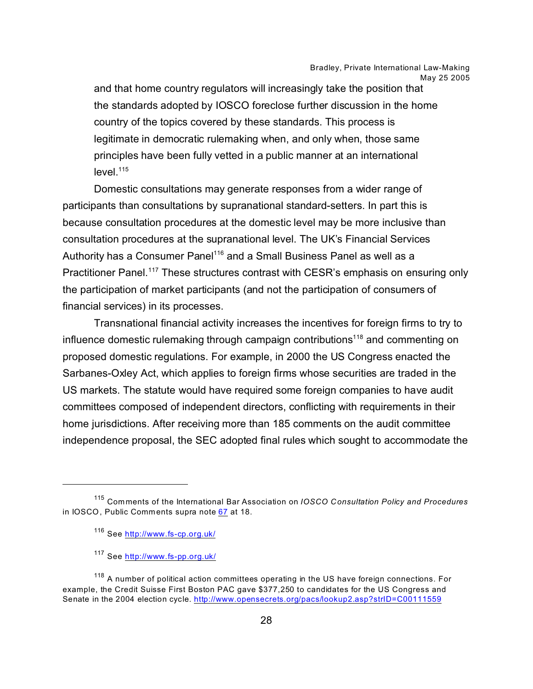and that home country regulators will increasingly take the position that the standards adopted by IOSCO foreclose further discussion in the home country of the topics covered by these standards. This process is legitimate in democratic rulemaking when, and only when, those same principles have been fully vetted in a public manner at an international  $level.<sup>115</sup>$ 

Domestic consultations may generate responses from a wider range of participants than consultations by supranational standard-setters. In part this is because consultation procedures at the domestic level may be more inclusive than consultation procedures at the supranational level. The UK's Financial Services Authority has a Consumer Panel<sup>116</sup> and a Small Business Panel as well as a Practitioner Panel.<sup>117</sup> These structures contrast with CESR's emphasis on ensuring only the participation of market participants (and not the participation of consumers of financial services) in its processes.

Transnational financial activity increases the incentives for foreign firms to try to influence domestic rulemaking through campaign contributions<sup>118</sup> and commenting on proposed domestic regulations. For example, in 2000 the US Congress enacted the Sarbanes-Oxley Act, which applies to foreign firms whose securities are traded in the US markets. The statute would have required some foreign companies to have audit committees composed of independent directors, conflicting with requirements in their home jurisdictions. After receiving more than 185 comments on the audit committee independence proposal, the SEC adopted final rules which sought to accommodate the

<sup>115</sup> Comments of the International Bar Association on *IOSCO Consultation Policy and Procedures* in IOSCO, Public Comments supra note [67](#page-27-0) at 18.

<sup>116</sup> See<http://www.fs-cp.org.uk/>

<sup>117</sup> See<http://www.fs-pp.org.uk/>

<span id="page-27-0"></span><sup>&</sup>lt;sup>118</sup> A number of political action committees operating in the US have foreign connections. For example, the Credit Suisse First Boston PAC gave \$377,250 to candidates for the US Congress and Senate in the 2004 election cycle.<http://www.opensecrets.org/pacs/lookup2.asp?strID=C00111559>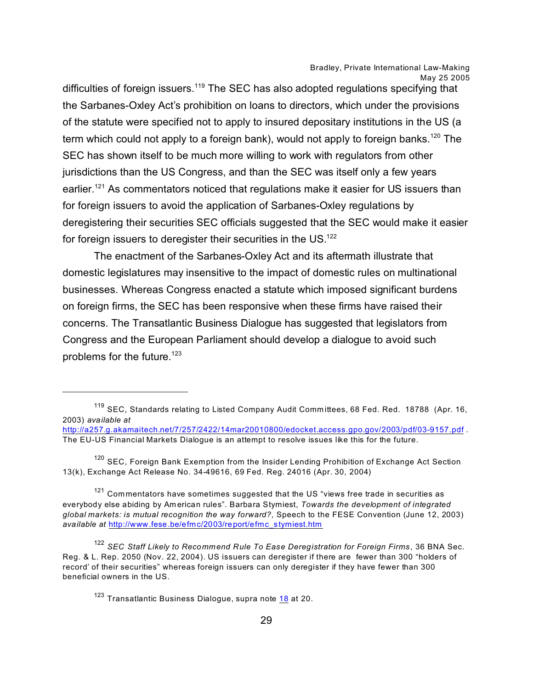difficulties of foreign issuers.<sup>119</sup> The SEC has also adopted regulations specifying that the Sarbanes-Oxley Act's prohibition on loans to directors, which under the provisions of the statute were specified not to apply to insured depositary institutions in the US (a term which could not apply to a foreign bank), would not apply to foreign banks.<sup>120</sup> The SEC has shown itself to be much more willing to work with regulators from other jurisdictions than the US Congress, and than the SEC was itself only a few years earlier.<sup>121</sup> As commentators noticed that regulations make it easier for US issuers than for foreign issuers to avoid the application of Sarbanes-Oxley regulations by deregistering their securities SEC officials suggested that the SEC would make it easier for foreign issuers to deregister their securities in the US.<sup>122</sup>

The enactment of the Sarbanes-Oxley Act and its aftermath illustrate that domestic legislatures may insensitive to the impact of domestic rules on multinational businesses. Whereas Congress enacted a statute which imposed significant burdens on foreign firms, the SEC has been responsive when these firms have raised their concerns. The Transatlantic Business Dialogue has suggested that legislators from Congress and the European Parliament should develop a dialogue to avoid such problems for the future.<sup>123</sup>

<sup>119</sup> SEC, Standards relating to Listed Company Audit Comm ittees, 68 Fed. Red. 18788 (Apr. 16, 2003) *available at*  <http://a257.g.akamaitech.net/7/257/2422/14mar20010800/edocket.access.gpo.gov/2003/pdf/03-9157.pdf> . The EU-US Financial Markets Dialogue is an attempt to resolve issues like this for the future.

 $120$  SEC, Foreign Bank Exemption from the Insider Lending Prohibition of Exchange Act Section 13(k), Exchange Act Release No. 34-49616, 69 Fed. Reg. 24016 (Apr. 30, 2004)

 $121$  Commentators have sometimes suggested that the US "views free trade in securities as everybody else abiding by Am erican rules". Barbara Stymiest, *Towards the development of integrated global markets: is mutual recognition the way forward?*, Speech to the FESE Convention (June 12, 2003) *available at* [http://www.fese.be/efmc/2003/report/efmc\\_stymiest.htm](http://www.fese.be/efmc/2003/report/efmc_stymiest.htm)

<sup>122</sup> *SEC Staff Likely to Recommend Rule To Ease Deregistration for Foreign Firms*, 36 BNA Sec. Reg. & L. Rep. 2050 (Nov. 22, 2004). US issuers can deregister if there are fewer than 300 "holders of record' of their securities" whereas foreign issuers can only deregister if they have fewer than 300 beneficial owners in the US.

<span id="page-28-0"></span> $123$  Transatlantic Business Dialogue, supra note  $18$  at 20.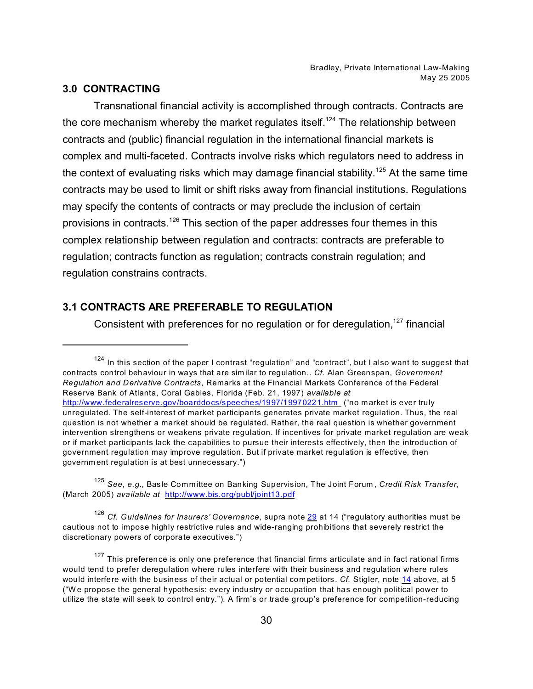#### **3.0 CONTRACTING**

Transnational financial activity is accomplished through contracts. Contracts are the core mechanism whereby the market regulates itself.<sup>124</sup> The relationship between contracts and (public) financial regulation in the international financial markets is complex and multi-faceted. Contracts involve risks which regulators need to address in the context of evaluating risks which may damage financial stability.<sup>125</sup> At the same time contracts may be used to limit or shift risks away from financial institutions. Regulations may specify the contents of contracts or may preclude the inclusion of certain provisions in contracts.<sup>126</sup> This section of the paper addresses four themes in this complex relationship between regulation and contracts: contracts are preferable to regulation; contracts function as regulation; contracts constrain regulation; and regulation constrains contracts.

# **3.1 CONTRACTS ARE PREFERABLE TO REGULATION**

Consistent with preferences for no regulation or for deregulation, $127$  financial

<sup>125</sup> *See*, *e.g.*, Basle Committee on Banking Supervision, The Joint Forum , *Credit Risk Transfer*, (March 2005) *available at* <http://www.bis.org/publ/joint13.pdf>

<sup>126</sup> *Cf. Guidelines for Insurers' Governance*, supra note [29](#page-29-0) at 14 ("regulatory authorities must be cautious not to impose highly restrictive rules and wide-ranging prohibitions that severely restrict the discretionary powers of corporate executives.")

<span id="page-29-0"></span> $127$  This preference is only one preference that financial firms articulate and in fact rational firms would tend to prefer deregulation where rules interfere with their business and regulation where rules would interfere with the business of their actual or potential competitors. *Cf.* Stigler, note [14](#page-29-0) above, at 5 ("W e propose the general hypothesis: every industry or occupation that has enough political power to utilize the state will seek to control entry."). A firm's or trade group's preference for competition-reducing

<sup>124</sup> In this section of the paper I contrast "regulation" and "contract", but I also want to suggest that contracts control behaviour in ways that are sim ilar to regulation.. *Cf.* Alan Greenspan, *Government Regulation and Derivative Contracts*, Remarks at the Financial Markets Conference of the Federal Reserve Bank of Atlanta, Coral Gables, Florida (Feb. 21, 1997) *available at* [http://www.federalreserve.gov/boarddocs/speeches/1997/19970221.htm](http://www.federalreserve.gov/boarddocs/speeches/1997/19970221.htm ) ("no market is ever truly unregulated. The self-interest of market participants generates private market regulation. Thus, the real question is not whether a market should be regulated. Rather, the real question is whether government intervention strengthens or weakens private regulation. If incentives for private market regulation are weak or if market participants lack the capabilities to pursue their interests effectively, then the introduction of government regulation may improve regulation. But if private market regulation is effective, then governm ent regulation is at best unnecessary.")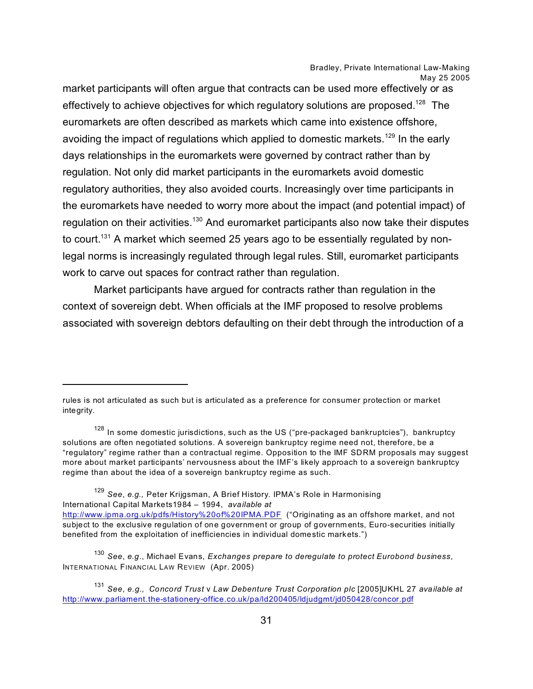market participants will often argue that contracts can be used more effectively or as effectively to achieve objectives for which regulatory solutions are proposed.<sup>128</sup> The euromarkets are often described as markets which came into existence offshore, avoiding the impact of regulations which applied to domestic markets.<sup>129</sup> In the early days relationships in the euromarkets were governed by contract rather than by regulation. Not only did market participants in the euromarkets avoid domestic regulatory authorities, they also avoided courts. Increasingly over time participants in the euromarkets have needed to worry more about the impact (and potential impact) of regulation on their activities.<sup>130</sup> And euromarket participants also now take their disputes to court.<sup>131</sup> A market which seemed 25 years ago to be essentially regulated by nonlegal norms is increasingly regulated through legal rules. Still, euromarket participants work to carve out spaces for contract rather than regulation.

Market participants have argued for contracts rather than regulation in the context of sovereign debt. When officials at the IMF proposed to resolve problems associated with sovereign debtors defaulting on their debt through the introduction of a

<sup>129</sup> *See*, *e.g.,* Peter Krijgsman, A Brief History. IPMA's Role in Harmonising International Capital Markets1984 – 1994, *available at*  <http://www.ipma.org.uk/pdfs/History%20of%20IPMA.PDF> ("Originating as an offshore market, and not subject to the exclusive regulation of one governm ent or group of governm ents, Euro-securities initially benefited from the exploitation of inefficiencies in individual domestic markets.")

<sup>130</sup> *See*, *e.g*., Michael Evans, *Exchanges prepare to deregulate to protect Eurobond business*, INTERNATIONAL FINANCIAL LAW REVIEW (Apr. 2005)

rules is not articulated as such but is articulated as a preference for consumer protection or market integrity.

 $128$  In some domestic jurisdictions, such as the US ("pre-packaged bankruptcies"), bankruptcy solutions are often negotiated solutions. A sovereign bankruptcy regime need not, therefore, be a "regulatory" regime rather than a contractual regime. Opposition to the IMF SDRM proposals may suggest more about market participants' nervousness about the IMF's likely approach to a sovereign bankruptcy regime than about the idea of a sovereign bankruptcy regime as such.

<sup>131</sup> *See*, *e.g.*, *Concord Trust* v *Law Debenture Trust Corporation plc* [2005]UKHL 27 *available at*  <http://www.parliament.the-stationery-office.co.uk/pa/ld200405/ldjudgmt/jd050428/concor.pdf>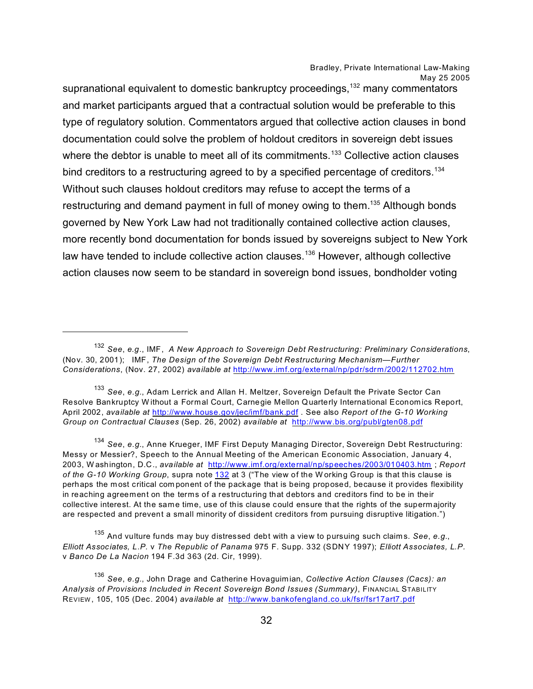supranational equivalent to domestic bankruptcy proceedings,<sup>132</sup> many commentators and market participants argued that a contractual solution would be preferable to this type of regulatory solution. Commentators argued that collective action clauses in bond documentation could solve the problem of holdout creditors in sovereign debt issues where the debtor is unable to meet all of its commitments.<sup>133</sup> Collective action clauses bind creditors to a restructuring agreed to by a specified percentage of creditors.<sup>134</sup> Without such clauses holdout creditors may refuse to accept the terms of a restructuring and demand payment in full of money owing to them.<sup>135</sup> Although bonds governed by New York Law had not traditionally contained collective action clauses, more recently bond documentation for bonds issued by sovereigns subject to New York law have tended to include collective action clauses.<sup>136</sup> However, although collective action clauses now seem to be standard in sovereign bond issues, bondholder voting

<sup>133</sup> *See*, *e.g.*, Adam Lerrick and Allan H. Meltzer, Sovereign Default the Private Sector Can Resolve Bankruptcy W ithout a Formal Court, Carnegie Mellon Quarterly International Economics Report, April 2002, *available at* <http://www.house.gov/jec/imf/bank.pdf> . See also *Report of the G-10 Working Group on Contractual Clauses* (Sep. 26, 2002) *available at* <http://www.bis.org/publ/gten08.pdf>

<sup>134</sup> *See*, *e.g.*, Anne Krueger, IMF First Deputy Managing Director, Sovereign Debt Restructuring: Messy or Messier?, Speech to the Annual Meeting of the American Economic Association, January 4, 2003, W ashington, D.C., *available at* <http://www.imf.org/external/np/speeches/2003/010403.htm> ; *Report of the G-10 Working Group*, supra note [132](#page-33-0) at 3 ("The view of the W orking Group is that this clause is perhaps the most critical component of the package that is being proposed, because it provides flexibility in reaching agreement on the terms of a restructuring that debtors and creditors find to be in their collective interest. At the same time, use of this clause could ensure that the rights of the superm ajority are respected and prevent a small minority of dissident creditors from pursuing disruptive litigation.")

<sup>135</sup> And vulture funds may buy distressed debt with a view to pursuing such claim s. *See*, *e.g.*, *Elliott Associates, L.P.* v *The Republic of Panama* 975 F. Supp. 332 (SDNY 1997); *Elliott Associates, L.P.* v *Banco De La Nacion* 194 F.3d 363 (2d. Cir, 1999).

<sup>132</sup> *See*, *e.g*., IMF, *A New Approach to Sovereign Debt Restructuring: Preliminary Considerations*, (Nov. 30, 2001); IMF, *The Design of the Sovereign Debt Restructuring Mechanism—Further Considerations*, (Nov. 27, 2002) *available at* <http://www.imf.org/external/np/pdr/sdrm/2002/112702.htm>

<sup>136</sup> *See*, *e.g.*, John Drage and Catherine Hovaguim ian, *Collective Action Clauses (Cacs): an Analysis of Provisions Included in Recent Sovereign Bond Issues (Summary)*, FINANCIAL STABILITY REVIEW , 105, 105 (Dec. 2004) *available at* <http://www.bankofengland.co.uk/fsr/fsr17art7.pdf>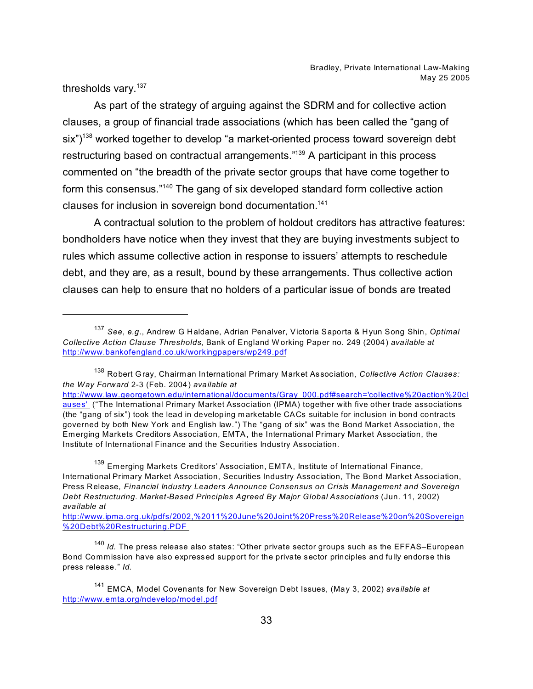thresholds vary.<sup>137</sup>

As part of the strategy of arguing against the SDRM and for collective action clauses, a group of financial trade associations (which has been called the "gang of six")<sup>138</sup> worked together to develop "a market-oriented process toward sovereign debt restructuring based on contractual arrangements."<sup>139</sup> A participant in this process commented on "the breadth of the private sector groups that have come together to form this consensus."<sup>140</sup> The gang of six developed standard form collective action clauses for inclusion in sovereign bond documentation.<sup>141</sup>

A contractual solution to the problem of holdout creditors has attractive features: bondholders have notice when they invest that they are buying investments subject to rules which assume collective action in response to issuers' attempts to reschedule debt, and they are, as a result, bound by these arrangements. Thus collective action clauses can help to ensure that no holders of a particular issue of bonds are treated

<sup>137</sup> *See*, *e.g*., Andrew G Haldane, Adrian Penalver, Victoria Saporta & Hyun Song Shin, *Optimal Collective Action Clause Thresholds*, Bank of England W orking Paper no. 249 (2004) *available at*  <http://www.bankofengland.co.uk/workingpapers/wp249.pdf>

<sup>138</sup> Robert Gray, Chairman International Primary Market Association, *Collective Action Clauses: the Way Forward* 2-3 (Feb. 2004) *available at* 

[http://www.law.georgetown.edu/international/documents/Gray\\_000.pdf#search='collective%20action%20cl](http://www.law.georgetown.edu/international/documents/Gray_000.pdf#search=) [auses'](http://www.law.georgetown.edu/international/documents/Gray_000.pdf#search=) ("The International Primary Market Association (IPMA) together with five other trade associations (the "gang of six") took the lead in developing m arketable CACs suitable for inclusion in bond contracts governed by both New York and English law.") The "gang of six" was the Bond Market Association, the Emerging Markets Creditors Association, EMTA, the International Primary Market Association, the Institute of International Finance and the Securities Industry Association.

<sup>&</sup>lt;sup>139</sup> Emerging Markets Creditors' Association, EMTA, Institute of International Finance, International Primary Market Association, Securities Industry Association, The Bond Market Association, Press Release, *Financial Industry Leaders Announce Consensus on Crisis Management and Sovereign Debt Restructuring. Market-Based Principles Agreed By Major Global Associations* (Jun. 11, 2002) *available at* 

[http://www.ipma.org.uk/pdfs/2002,%2011%20June%20Joint%20Press%20Release%20on%20Sovereign](http://www.ipma.org.uk/pdfs/2002,%2011%20June%20Joint%20Press%20Release%20on%20Sovereign%20Debt%20Restructuring.PDF ) [%20Debt%20Restructuring.PDF](http://www.ipma.org.uk/pdfs/2002,%2011%20June%20Joint%20Press%20Release%20on%20Sovereign%20Debt%20Restructuring.PDF ) 

<sup>140</sup> *Id.* The press release also states: "Other private sector groups such as the EFFAS–European Bond Commission have also expressed support for the private sector principles and fully endorse this press release." *Id.* 

<sup>141</sup> EMCA, Model Covenants for New Sovereign Debt Issues, (May 3, 2002) *available at*  <http://www.emta.org/ndevelop/model.pdf>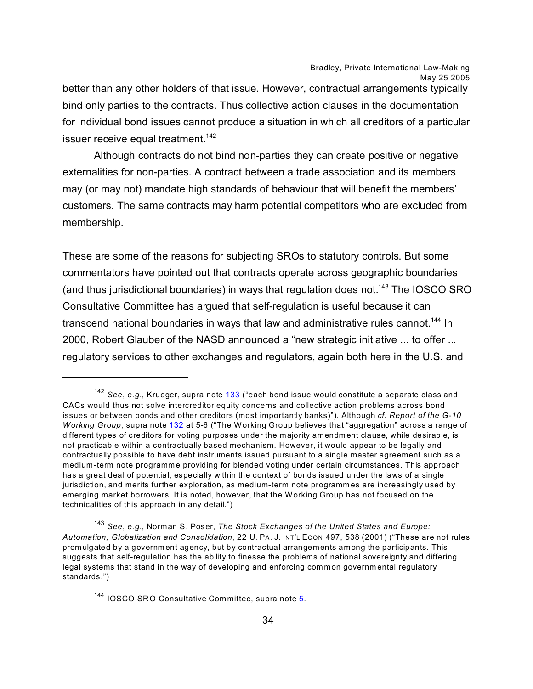better than any other holders of that issue. However, contractual arrangements typically bind only parties to the contracts. Thus collective action clauses in the documentation for individual bond issues cannot produce a situation in which all creditors of a particular issuer receive equal treatment.<sup>142</sup>

Although contracts do not bind non-parties they can create positive or negative externalities for non-parties. A contract between a trade association and its members may (or may not) mandate high standards of behaviour that will benefit the members' customers. The same contracts may harm potential competitors who are excluded from membership.

These are some of the reasons for subjecting SROs to statutory controls. But some commentators have pointed out that contracts operate across geographic boundaries (and thus jurisdictional boundaries) in ways that regulation does not.<sup>143</sup> The IOSCO SRO Consultative Committee has argued that self-regulation is useful because it can transcend national boundaries in ways that law and administrative rules cannot.<sup>144</sup> In 2000, Robert Glauber of the NASD announced a "new strategic initiative ... to offer ... regulatory services to other exchanges and regulators, again both here in the U.S. and

<sup>142</sup> *See*, *e.g.*, Krueger, supra note 133 ("each bond issue would constitute a separate class and CACs would thus not solve intercreditor equity concerns and collective action problems across bond issues or between bonds and other creditors (most importantly banks)"). Although *cf. Report of the G-10 Working Group*, supra note [132](#page-33-0) at 5-6 ("The Working Group believes that "aggregation" across a range of different types of creditors for voting purposes under the m ajority amendm ent clause, while desirable, is not practicable within a contractually based mechanism. However, it would appear to be legally and contractually possible to have debt instruments issued pursuant to a single master agreement such as a medium-term note programme providing for blended voting under certain circumstances. This approach has a great deal of potential, especially within the context of bonds issued under the laws of a single jurisdiction, and merits further exploration, as medium-term note programm es are increasingly used by emerging market borrowers. It is noted, however, that the Working Group has not focused on the technicalities of this approach in any detail.")

<sup>143</sup> *See*, *e.g.*, Norman S. Poser, *The Stock Exchanges of the United States and Europe: Automation, Globalization and Consolidation*, 22 U. PA. J. INT'L ECON 497, 538 (2001) ("These are not rules prom ulgated by a governm ent agency, but by contractual arrangements among the participants. This suggests that self-regulation has the ability to finesse the problems of national sovereignty and differing legal systems that stand in the way of developing and enforcing com mon governm ental regulatory standards.")

<span id="page-33-0"></span> $^{144}$  IOSCO SRO Consultative Committee, supra note  $\underline{5}$ .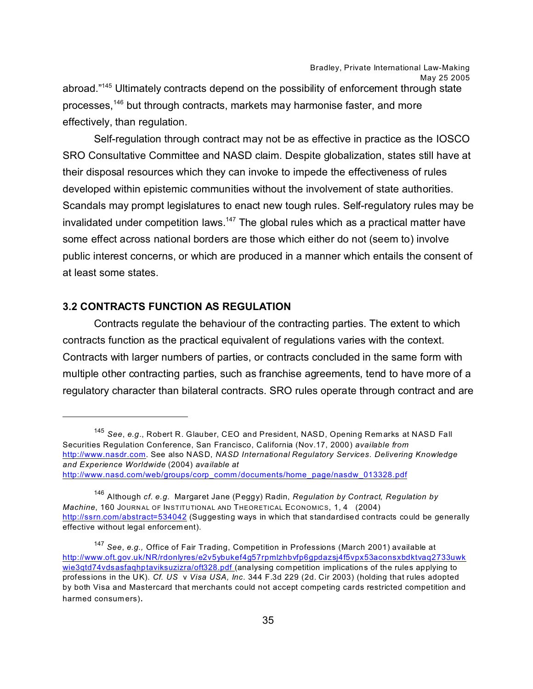abroad."<sup>145</sup> Ultimately contracts depend on the possibility of enforcement through state processes.<sup>146</sup> but through contracts, markets may harmonise faster, and more effectively, than regulation.

Self-regulation through contract may not be as effective in practice as the IOSCO SRO Consultative Committee and NASD claim. Despite globalization, states still have at their disposal resources which they can invoke to impede the effectiveness of rules developed within epistemic communities without the involvement of state authorities. Scandals may prompt legislatures to enact new tough rules. Self-regulatory rules may be invalidated under competition laws.<sup>147</sup> The global rules which as a practical matter have some effect across national borders are those which either do not (seem to) involve public interest concerns, or which are produced in a manner which entails the consent of at least some states.

# **3.2 CONTRACTS FUNCTION AS REGULATION**

Contracts regulate the behaviour of the contracting parties. The extent to which contracts function as the practical equivalent of regulations varies with the context. Contracts with larger numbers of parties, or contracts concluded in the same form with multiple other contracting parties, such as franchise agreements, tend to have more of a regulatory character than bilateral contracts. SRO rules operate through contract and are

<sup>145</sup> *See*, *e.g*., Robert R. Glauber, CEO and President, NASD, Opening Rem arks at NASD Fall Securities Regulation Conference, San Francisco, California (Nov.17, 2000) *available from* <http://www.nasdr.com>. See also NASD, *NASD International Regulatory Services. Delivering Knowledge and Experience Worldwide* (2004) *available at*  [http://www.nasd.com/web/groups/corp\\_comm](http://www.nasd.com/web/groups/corp_comm/documents/home_page/nasdw_013328.pdf) /documents/home\_page/nasdw\_013328.pdf

<sup>146</sup> Although *cf*. *e.g.* Margaret Jane (Peggy) Radin, *Regulation by Contract, Regulation by Machine*, 160 JOURNAL OF INSTITUTIONAL AND THEORETICAL ECONOMICS, 1, 4 (2004) <http://ssrn.com/abstract=534042> (Suggesting ways in which that standardised contracts could be generally effective without legal enforcem ent).

<sup>147</sup> *See*, *e.g.,* Office of Fair Trading, Competition in Professions (March 2001) available at [http://www.oft.gov.uk/NR/rdonlyres/e2v5ybukef4g57rpmlzhbvfp6gpdazsj4f5vpx53aconsxbdktvaq2733uwk](http://www.oft.gov.uk/NR/rdonlyres/e2v5ybukef4g57rpmlzhbvfp6gpdazsj4f5vpx53aconsxbdktvaq2733uwkwie3qtd74vdsasfaqhptaviksuzizra/oft328.pdf ) [wie3qtd74vdsasfaqhptaviksuzizra/oft328.pdf](http://www.oft.gov.uk/NR/rdonlyres/e2v5ybukef4g57rpmlzhbvfp6gpdazsj4f5vpx53aconsxbdktvaq2733uwkwie3qtd74vdsasfaqhptaviksuzizra/oft328.pdf ) (analysing competition implications of the rules applying to professions in the UK). *Cf. US* v *Visa USA, Inc*. 344 F.3d 229 (2d. Cir 2003) (holding that rules adopted by both Visa and Mastercard that merchants could not accept competing cards restricted competition and harmed consumers).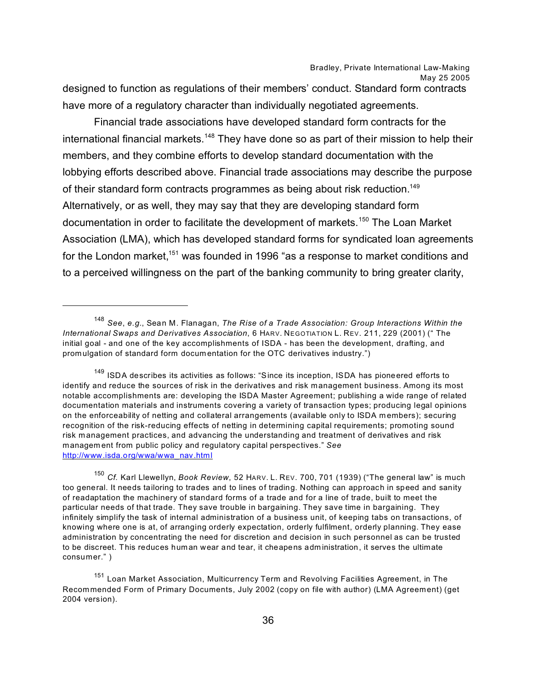designed to function as regulations of their members' conduct. Standard form contracts have more of a regulatory character than individually negotiated agreements.

Financial trade associations have developed standard form contracts for the international financial markets.<sup>148</sup> They have done so as part of their mission to help their members, and they combine efforts to develop standard documentation with the lobbying efforts described above. Financial trade associations may describe the purpose of their standard form contracts programmes as being about risk reduction.<sup>149</sup> Alternatively, or as well, they may say that they are developing standard form documentation in order to facilitate the development of markets.<sup>150</sup> The Loan Market Association (LMA), which has developed standard forms for syndicated loan agreements for the London market,<sup>151</sup> was founded in 1996 "as a response to market conditions and to a perceived willingness on the part of the banking community to bring greater clarity,

<sup>148</sup> *See*, *e.g.*, Sean M. Flanagan, *The Rise of a Trade Association: Group Interactions Within the International Swaps and Derivatives Association*, 6 HARV. NEGOTIATION L. REV. 211, 229 (2001) (" The initial goal - and one of the key accomplishments of ISDA - has been the development, drafting, and promulgation of standard form docum entation for the OTC derivatives industry.")

<sup>&</sup>lt;sup>149</sup> ISDA describes its activities as follows: "Since its inception, ISDA has pioneered efforts to identify and reduce the sources of risk in the derivatives and risk management business. Among its most notable accomplishments are: developing the ISDA Master Agreement; publishing a wide range of related documentation materials and instruments covering a variety of transaction types; producing legal opinions on the enforceability of netting and collateral arrangements (available only to ISDA members); securing recognition of the risk-reducing effects of netting in determining capital requirements; promoting sound risk management practices, and advancing the understanding and treatment of derivatives and risk managem ent from public policy and regulatory capital perspectives." *See* [http://www.isda.org/wwa/wwa\\_nav.html](http://www.isda.org/wwa/wwa_nav.html)

<sup>150</sup> *Cf.* Karl Llewellyn, *Book Review*, 52 HARV. L. REV. 700, 701 (1939) ("The general law" is much too general. It needs tailoring to trades and to lines of trading. Nothing can approach in speed and sanity of readaptation the machinery of standard forms of a trade and for a line of trade, built to meet the particular needs of that trade. They save trouble in bargaining. They save time in bargaining. They infinitely simplify the task of internal administration of a business unit, of keeping tabs on transactions, of knowing where one is at, of arranging orderly expectation, orderly fulfilment, orderly planning. They ease administration by concentrating the need for discretion and decision in such personnel as can be trusted to be discreet. This reduces human wear and tear, it cheapens administration, it serves the ultimate consumer." )

<sup>&</sup>lt;sup>151</sup> Loan Market Association, Multicurrency Term and Revolving Facilities Agreement, in The Recommended Form of Primary Documents, July 2002 (copy on file with author) (LMA Agreement) (get 2004 version).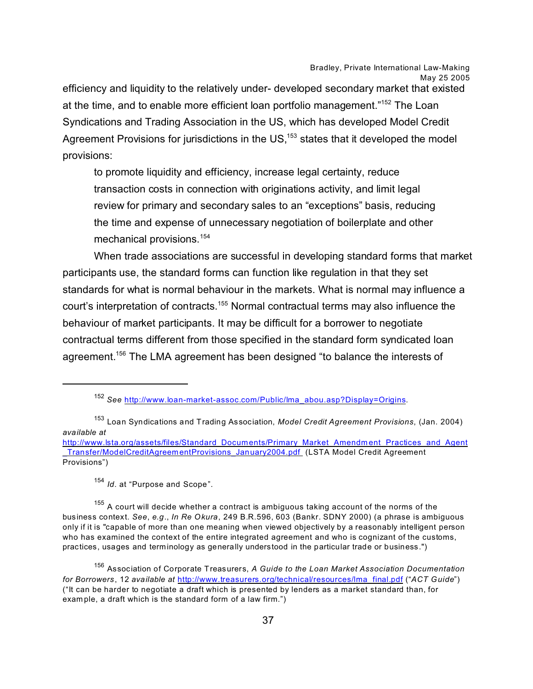efficiency and liquidity to the relatively under- developed secondary market that existed at the time, and to enable more efficient loan portfolio management."<sup>152</sup> The Loan Syndications and Trading Association in the US, which has developed Model Credit Agreement Provisions for jurisdictions in the US,<sup>153</sup> states that it developed the model provisions:

to promote liquidity and efficiency, increase legal certainty, reduce transaction costs in connection with originations activity, and limit legal review for primary and secondary sales to an "exceptions" basis, reducing the time and expense of unnecessary negotiation of boilerplate and other mechanical provisions.<sup>154</sup>

When trade associations are successful in developing standard forms that market participants use, the standard forms can function like regulation in that they set standards for what is normal behaviour in the markets. What is normal may influence a court's interpretation of contracts.<sup>155</sup> Normal contractual terms may also influence the behaviour of market participants. It may be difficult for a borrower to negotiate contractual terms different from those specified in the standard form syndicated loan agreement.<sup>156</sup> The LMA agreement has been designed "to balance the interests of

<sup>154</sup> *Id*. at "Purpose and Scope".

<sup>155</sup> A court will decide whether a contract is ambiguous taking account of the norms of the business context. *See*, *e.g*., *In Re Okura*, 249 B.R.596, 603 (Bankr. SDNY 2000) (a phrase is ambiguous only if it is "capable of more than one meaning when viewed objectively by a reasonably intelligent person who has examined the context of the entire integrated agreement and who is cognizant of the customs, practices, usages and terminology as generally understood in the particular trade or business.")

<sup>152</sup> *See* [http://www.loan-market-assoc.com/Public/lma\\_abou.asp?Display=Origins](http://www.loan-market-assoc.com/Public/lma_abou.asp?Display=Origins).

<sup>153</sup> Loan Syndications and Trading Association, *Model Credit Agreement Provisions*, (Jan. 2004) *available at* 

[http://www.lsta.org/assets/files/Standard\\_Documents/Primary\\_Market\\_Amendm](http://www.lsta.org/assets/files/Standard_Documents/Primary_Market_Amendment_Practices_and_Agent_Transfer/ModelCreditAgreementProvisions_January2004.pdf )ent\_Practices\_and\_Agent \_Transfer/ModelCreditAgreem [entProvisions\\_January2004.pdf](http://www.lsta.org/assets/files/Standard_Documents/Primary_Market_Amendment_Practices_and_Agent_Transfer/ModelCreditAgreementProvisions_January2004.pdf ) (LSTA Model Credit Agreement Provisions")

<sup>156</sup> Association of Corporate Treasurers, *A Guide to the Loan Market Association Documentation for Borrowers*, 12 *available at* [http://www.treasurers.org/technical/resources/lma\\_final.pdf](http://www.treasurers.org/technical/resources/lma_final.pdf) ("*ACT Guide*") ("It can be harder to negotiate a draft which is presented by lenders as a market standard than, for example, a draft which is the standard form of a law firm.")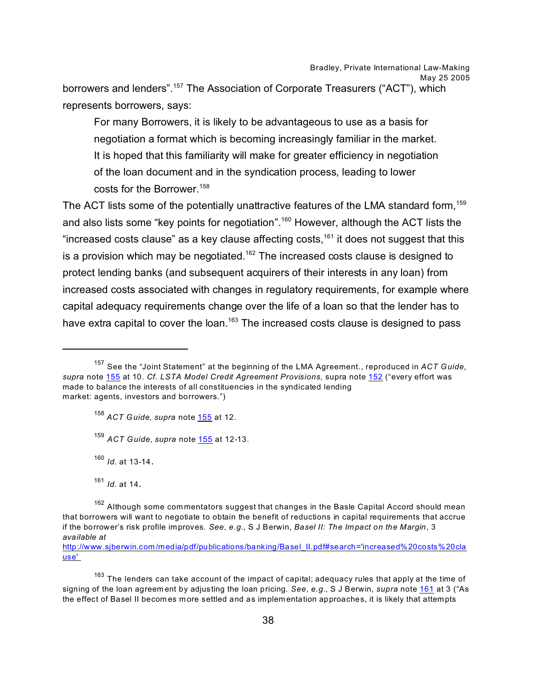borrowers and lenders".<sup>157</sup> The Association of Corporate Treasurers ("ACT"), which represents borrowers, says:

For many Borrowers, it is likely to be advantageous to use as a basis for negotiation a format which is becoming increasingly familiar in the market. It is hoped that this familiarity will make for greater efficiency in negotiation of the loan document and in the syndication process, leading to lower costs for the Borrower.<sup>158</sup>

The ACT lists some of the potentially unattractive features of the LMA standard form,<sup>159</sup> and also lists some "key points for negotiation".<sup>160</sup> However, although the ACT lists the "increased costs clause" as a key clause affecting costs, $161$  it does not suggest that this is a provision which may be negotiated.<sup>162</sup> The increased costs clause is designed to protect lending banks (and subsequent acquirers of their interests in any loan) from increased costs associated with changes in regulatory requirements, for example where capital adequacy requirements change over the life of a loan so that the lender has to have extra capital to cover the loan.<sup>163</sup> The increased costs clause is designed to pass

<sup>160</sup> *Id.* at 13-14.

<sup>161</sup> *Id.* at 14.

http://www.sjberwin.com [/media/pdf/publications/banking/Basel\\_II.pdf#search='increased%20costs%20cla](http://www.sjberwin.com/media/pdf/publications/banking/Basel_II.pdf#search=) [use'](http://www.sjberwin.com/media/pdf/publications/banking/Basel_II.pdf#search=) 

<span id="page-37-0"></span> $^{163}$  The lenders can take account of the impact of capital; adequacy rules that apply at the time of signing of the loan agreem ent by adjusting the loan pricing. *See*, *e.g.*, S J Berwin, *supra* note [161](#page-38-0) at 3 ("As the effect of Basel II becom es m ore settled and as implem entation approaches, it is likely that attempts

<sup>157</sup> See the "Joint Statement" at the beginning of the LMA Agreement., reproduced in *ACT Guide*, *supra* note [155](#page-37-0) at 10. *Cf. LSTA Model Credit Agreement Provisions*, supra note 152 ("every effort was made to balance the interests of all constituencies in the syndicated lending market: agents, investors and borrowers.")

<sup>158</sup> *ACT Guide*, *supra* note [155](#page-37-0) at 12.

<sup>159</sup> *ACT Guide*, *supra* note [155](#page-37-0) at 12-13.

<sup>&</sup>lt;sup>162</sup> Although some commentators suggest that changes in the Basle Capital Accord should mean that borrowers will want to negotiate to obtain the benefit of reductions in capital requirements that accrue if the borrower's risk profile improves. *See*, *e.g.*, S J Berwin, *Basel II: The Impact on the Margin*, 3 *available at*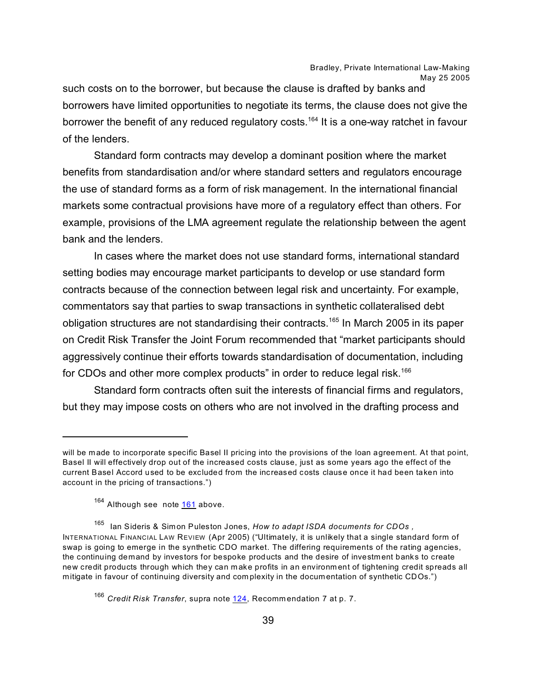such costs on to the borrower, but because the clause is drafted by banks and borrowers have limited opportunities to negotiate its terms, the clause does not give the borrower the benefit of any reduced regulatory costs.<sup>164</sup> It is a one-way ratchet in favour of the lenders.

Standard form contracts may develop a dominant position where the market benefits from standardisation and/or where standard setters and regulators encourage the use of standard forms as a form of risk management. In the international financial markets some contractual provisions have more of a regulatory effect than others. For example, provisions of the LMA agreement regulate the relationship between the agent bank and the lenders.

In cases where the market does not use standard forms, international standard setting bodies may encourage market participants to develop or use standard form contracts because of the connection between legal risk and uncertainty. For example, commentators say that parties to swap transactions in synthetic collateralised debt obligation structures are not standardising their contracts.<sup>165</sup> In March 2005 in its paper on Credit Risk Transfer the Joint Forum recommended that "market participants should aggressively continue their efforts towards standardisation of documentation, including for CDOs and other more complex products" in order to reduce legal risk.<sup>166</sup>

Standard form contracts often suit the interests of financial firms and regulators, but they may impose costs on others who are not involved in the drafting process and

will be made to incorporate specific Basel II pricing into the provisions of the loan agreement. At that point, Basel II will effectively drop out of the increased costs clause, just as some years ago the effect of the current Basel Accord used to be excluded from the increased costs clause once it had been taken into account in the pricing of transactions.")

<sup>&</sup>lt;sup>164</sup> Although see note **161** above.

<sup>165</sup> Ian Sideris & Simon Puleston Jones, *How to adapt ISDA documents for CDOs ,* INTERNATIONAL FINANCIAL LAW REVIEW (Apr 2005) ("Ultimately, it is unlikely that a single standard form of swap is going to emerge in the synthetic CDO market. The differing requirements of the rating agencies, the continuing demand by investors for bespoke products and the desire of investment banks to create new credit products through which they can make profits in an environment of tightening credit spreads all mitigate in favour of continuing diversity and com plexity in the documentation of synthetic CDOs.")

<span id="page-38-0"></span><sup>&</sup>lt;sup>166</sup> Credit Risk Transfer, supra note [124](#page-40-0), Recommendation 7 at p. 7.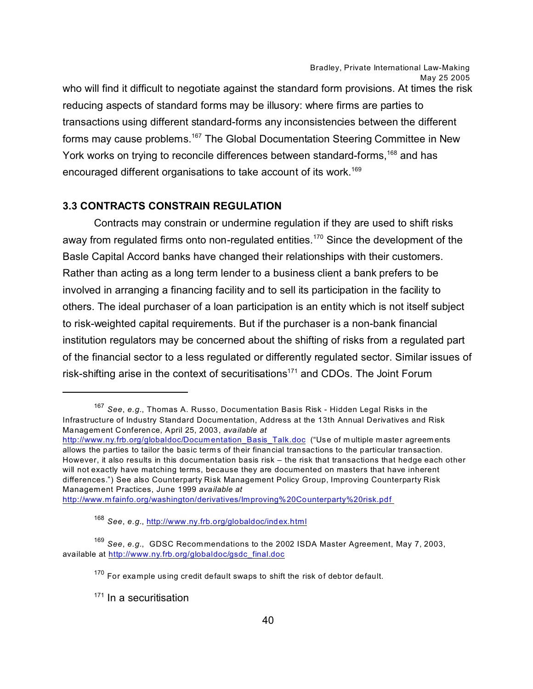who will find it difficult to negotiate against the standard form provisions. At times the risk reducing aspects of standard forms may be illusory: where firms are parties to transactions using different standard-forms any inconsistencies between the different forms may cause problems.<sup>167</sup> The Global Documentation Steering Committee in New York works on trying to reconcile differences between standard-forms,<sup>168</sup> and has encouraged different organisations to take account of its work.<sup>169</sup>

### **3.3 CONTRACTS CONSTRAIN REGULATION**

Contracts may constrain or undermine regulation if they are used to shift risks away from regulated firms onto non-regulated entities.<sup>170</sup> Since the development of the Basle Capital Accord banks have changed their relationships with their customers. Rather than acting as a long term lender to a business client a bank prefers to be involved in arranging a financing facility and to sell its participation in the facility to others. The ideal purchaser of a loan participation is an entity which is not itself subject to risk-weighted capital requirements. But if the purchaser is a non-bank financial institution regulators may be concerned about the shifting of risks from a regulated part of the financial sector to a less regulated or differently regulated sector. Similar issues of risk-shifting arise in the context of securitisations<sup>171</sup> and CDOs. The Joint Forum

http://www.m [fainfo.org/washington/derivatives/Improving%20Counterparty%20risk.pdf](http://www.mfainfo.org/washington/derivatives/Improving%20Counterparty%20risk.pdf ) 

<sup>167</sup> *See*, *e.g.*, Thomas A. Russo, Documentation Basis Risk - Hidden Legal Risks in the Infrastructure of Industry Standard Documentation, Address at the 13th Annual Derivatives and Risk Management Conference, April 25, 2003, *available at* 

[http://www.ny.frb.org/globaldoc/Documentation\\_Basis\\_Talk.doc](http://www.ny.frb.org/globaldoc/Documentation_Basis_Talk.doc) ("Use of multiple master agreem ents allows the parties to tailor the basic terms of their financial transactions to the particular transaction. However, it also results in this documentation basis risk – the risk that transactions that hedge each other will not exactly have matching terms, because they are documented on masters that have inherent differences.") See also Counterparty Risk Management Policy Group, Improving Counterparty Risk Management Practices, June 1999 *available at* 

<sup>168</sup> *See*, *e.g.*,<http://www.ny.frb.org/globaldoc/index.html>

<sup>169</sup> *See*, *e.g.*, GDSC Recom mendations to the 2002 ISDA Master Agreement, May 7, 2003, available at [http://www.ny.frb.org/globaldoc/gsdc\\_final.doc](http://www.ny.frb.org/globaldoc/gsdc_final.doc)

 $170$  For example using credit default swaps to shift the risk of debtor default.

 $171$  In a securitisation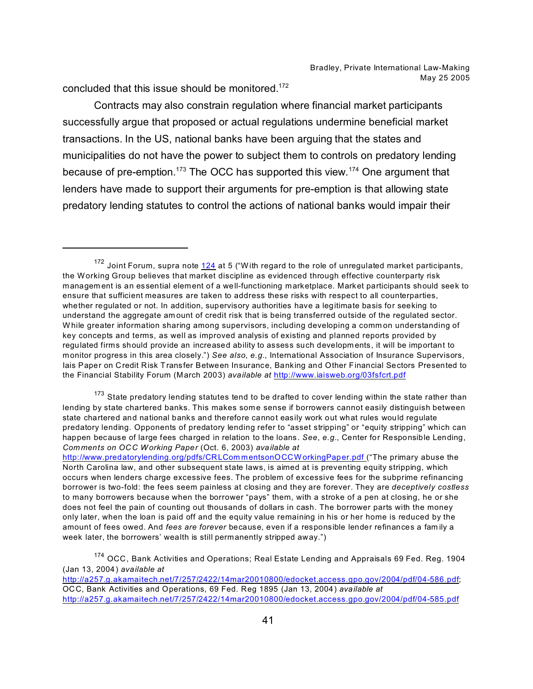concluded that this issue should be monitored.<sup>172</sup>

Contracts may also constrain regulation where financial market participants successfully argue that proposed or actual regulations undermine beneficial market transactions. In the US, national banks have been arguing that the states and municipalities do not have the power to subject them to controls on predatory lending because of pre-emption.<sup>173</sup> The OCC has supported this view.<sup>174</sup> One argument that lenders have made to support their arguments for pre-emption is that allowing state predatory lending statutes to control the actions of national banks would impair their

 $173$  State predatory lending statutes tend to be drafted to cover lending within the state rather than lending by state chartered banks. This makes some sense if borrowers cannot easily distinguish between state chartered and national banks and therefore cannot easily work out what rules would regulate predatory lending. Opponents of predatory lending refer to "asset stripping" or "equity stripping" which can happen because of large fees charged in relation to the loans. *See*, *e.g.*, Center for Responsible Lending, *Comments on OCC Working Paper* (Oct. 6, 2003) *available at* 

174 OCC, Bank Activities and Operations; Real Estate Lending and Appraisals 69 Fed. Reg. 1904 (Jan 13, 2004) *available at* 

<span id="page-40-0"></span><http://a257.g.akamaitech.net/7/257/2422/14mar20010800/edocket.access.gpo.gov/2004/pdf/04-586.pdf>; OCC, Bank Activities and Operations, 69 Fed. Reg 1895 (Jan 13, 2004) *available at*  <http://a257.g.akamaitech.net/7/257/2422/14mar20010800/edocket.access.gpo.gov/2004/pdf/04-585.pdf>

 $172$  Joint Forum, supra note  $124$  at 5 ("With regard to the role of unregulated market participants, the Working Group believes that market discipline as evidenced through effective counterparty risk managem ent is an essential element of a well-functioning marketplace. Market participants should seek to ensure that sufficient measures are taken to address these risks with respect to all counterparties, whether regulated or not. In addition, supervisory authorities have a legitimate basis for seeking to understand the aggregate am ount of credit risk that is being transferred outside of the regulated sector. W hile greater information sharing among supervisors, including developing a comm on understanding of key concepts and terms, as well as improved analysis of existing and planned reports provided by regulated firms should provide an increased ability to assess such developm ents, it will be important to monitor progress in this area closely.") *See also*, *e.g.*, International Association of Insurance Supervisors, Iais Paper on Credit Risk Transfer Between Insurance, Banking and Other Financial Sectors Presented to the Financial Stability Forum (March 2003) *available at* <http://www.iaisweb.org/03fsfcrt.pdf>

[http://www.predatorylending.org/pdfs/CRLCom](http://www.predatorylending.org/pdfs/CRLCommentsonOCCWorkingPaper.pdf ) mentsonOCCW orkingPaper.pdf ("The primary abuse the North Carolina law, and other subsequent state laws, is aimed at is preventing equity stripping, which occurs when lenders charge excessive fees. The problem of excessive fees for the subprime refinancing borrower is two-fold: the fees seem painless at closing and they are forever. They are *deceptively costless* to many borrowers because when the borrower "pays" them, with a stroke of a pen at closing, he or she does not feel the pain of counting out thousands of dollars in cash. The borrower parts with the money only later, when the loan is paid off and the equity value remaining in his or her home is reduced by the amount of fees owed. And *fees are forever* because, even if a responsible lender refinances a fam ily a week later, the borrowers' wealth is still permanently stripped away.")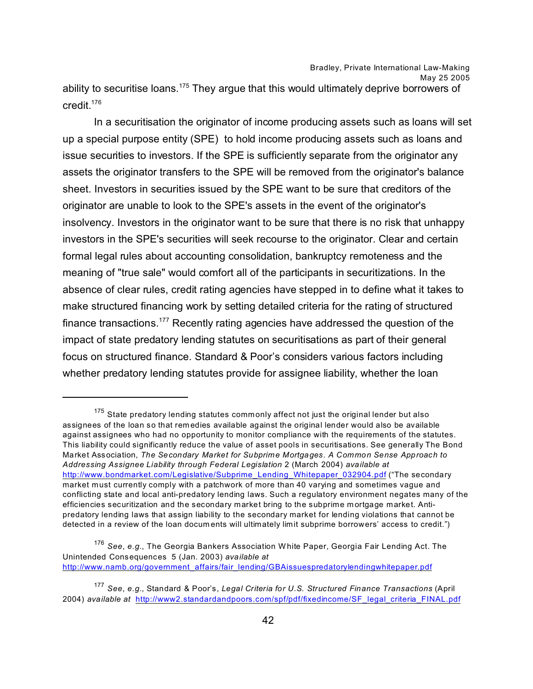May 25 2005

ability to securitise loans.<sup>175</sup> They argue that this would ultimately deprive borrowers of credit.<sup>176</sup>

In a securitisation the originator of income producing assets such as loans will set up a special purpose entity (SPE) to hold income producing assets such as loans and issue securities to investors. If the SPE is sufficiently separate from the originator any assets the originator transfers to the SPE will be removed from the originator's balance sheet. Investors in securities issued by the SPE want to be sure that creditors of the originator are unable to look to the SPE's assets in the event of the originator's insolvency. Investors in the originator want to be sure that there is no risk that unhappy investors in the SPE's securities will seek recourse to the originator. Clear and certain formal legal rules about accounting consolidation, bankruptcy remoteness and the meaning of "true sale" would comfort all of the participants in securitizations. In the absence of clear rules, credit rating agencies have stepped in to define what it takes to make structured financing work by setting detailed criteria for the rating of structured finance transactions.<sup>177</sup> Recently rating agencies have addressed the question of the impact of state predatory lending statutes on securitisations as part of their general focus on structured finance. Standard & Poor's considers various factors including whether predatory lending statutes provide for assignee liability, whether the loan

 $175$  State predatory lending statutes commonly affect not just the original lender but also assignees of the loan so that rem edies available against the original lender would also be available against assignees who had no opportunity to monitor compliance with the requirements of the statutes. This liability could significantly reduce the value of asset pools in securitisations. See generally The Bond Market Association, *The Secondary Market for Subprime Mortgages. A Common Sense Approach to Addressing Assignee Liability through Federal Legislation* 2 (March 2004) *available at*  [http://www.bondmarket.com/Legislative/Subprime\\_Lending\\_Whitepaper\\_032904.pdf](http://www.bondmarket.com/Legislative/Subprime_Lending_Whitepaper_032904.pdf) ("The secondary market must currently comply with a patchwork of more than 40 varying and sometimes vague and conflicting state and local anti-predatory lending laws. Such a regulatory environment negates many of the efficiencies securitization and the secondary market bring to the subprime m ortgage market. Antipredatory lending laws that assign liability to the secondary market for lending violations that cannot be detected in a review of the loan docum ents will ultimately limit subprime borrowers' access to credit.")

<sup>176</sup> *See*, *e.g.*, The Georgia Bankers Association White Paper, Georgia Fair Lending Act. The Unintended Consequences 5 (Jan. 2003) *available at*  [http://www.namb.org/government\\_affairs/fair\\_lending/GBAissuespredatorylendingwhitepaper.pdf](http://www.namb.org/government_affairs/fair_lending/GBAissuespredatorylendingwhitepaper.pdf)

<sup>177</sup> *See*, *e.g.*, Standard & Poor's, *Legal Criteria for U.S. Structured Finance Transactions* (April 2004) *available at* [http://www2.standardandpoors.com/spf/pdf/fixedincome/SF\\_legal\\_criteria\\_FINAL.pdf](http://www2.standardandpoors.com/spf/pdf/fixedincome/SF_legal_criteria_FINAL.pdf)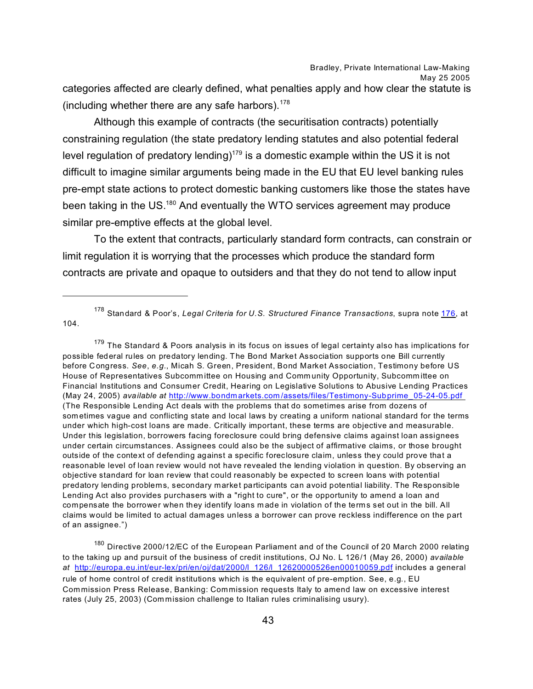categories affected are clearly defined, what penalties apply and how clear the statute is (including whether there are any safe harbors).  $178$ 

Although this example of contracts (the securitisation contracts) potentially constraining regulation (the state predatory lending statutes and also potential federal level regulation of predatory lending)<sup>179</sup> is a domestic example within the US it is not difficult to imagine similar arguments being made in the EU that EU level banking rules pre-empt state actions to protect domestic banking customers like those the states have been taking in the US.<sup>180</sup> And eventually the WTO services agreement may produce similar pre-emptive effects at the global level.

To the extent that contracts, particularly standard form contracts, can constrain or limit regulation it is worrying that the processes which produce the standard form contracts are private and opaque to outsiders and that they do not tend to allow input

<sup>178</sup> Standard & Poor's, *Legal Criteria for U.S. Structured Finance Transactions*, supra note 176, at 104.

<sup>179</sup> The Standard & Poors analysis in its focus on issues of legal certainty also has implications for possible federal rules on predatory lending. The Bond Market Association supports one Bill currently before Congress. *See*, *e.g.*, Micah S. Green, President, Bond Market Association, Testimony before US House of Representatives Subcomm ittee on Housing and Comm unity Opportunity, Subcomm ittee on Financial Institutions and Consumer Credit, Hearing on Legislative Solutions to Abusive Lending Practices (May 24, 2005) *available at* http://www.bondmarkets.com [/assets/files/Testimony-Subprime\\_05-24-05.pdf](http://www.bondmarkets.com/assets/files/Testimony-Subprime_05-24-05.pdf )  (The Responsible Lending Act deals with the problems that do sometimes arise from dozens of sometimes vague and conflicting state and local laws by creating a uniform national standard for the terms under which high-cost loans are made. Critically important, these terms are objective and measurable. Under this legislation, borrowers facing foreclosure could bring defensive claims against loan assignees under certain circumstances. Assignees could also be the subject of affirmative claims, or those brought outside of the context of defending against a specific foreclosure claim, unless they could prove that a reasonable level of loan review would not have revealed the lending violation in question. By observing an objective standard for loan review that could reasonably be expected to screen loans with potential predatory lending problems, secondary market participants can avoid potential liability. The Responsible Lending Act also provides purchasers with a "right to cure", or the opportunity to amend a loan and compensate the borrower when they identify loans m ade in violation of the terms set out in the bill. All claims would be limited to actual damages unless a borrower can prove reckless indifference on the part of an assignee.")

<sup>180</sup> Directive 2000/12/EC of the European Parliament and of the Council of 20 March 2000 relating to the taking up and pursuit of the business of credit institutions, OJ No. L 126/1 (May 26, 2000) *available at* [http://europa.eu.int/eur-lex/pri/en/oj/dat/2000/l\\_126/l\\_12620000526en00010059.pdf](http://europa.eu.int/eur-lex/pri/en/oj/dat/2000/l_126/l_12620000526en00010059.pdf) includes a general rule of home control of credit institutions which is the equivalent of pre-emption. See, e.g., EU Commission Press Release, Banking: Commission requests Italy to amend law on excessive interest rates (July 25, 2003) (Com mission challenge to Italian rules criminalising usury).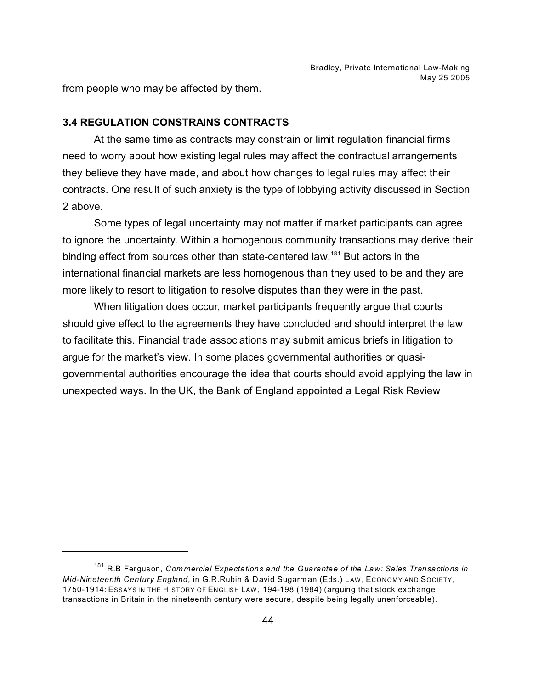from people who may be affected by them.

#### **3.4 REGULATION CONSTRAINS CONTRACTS**

At the same time as contracts may constrain or limit regulation financial firms need to worry about how existing legal rules may affect the contractual arrangements they believe they have made, and about how changes to legal rules may affect their contracts. One result of such anxiety is the type of lobbying activity discussed in Section 2 above.

Some types of legal uncertainty may not matter if market participants can agree to ignore the uncertainty. Within a homogenous community transactions may derive their binding effect from sources other than state-centered law.<sup>181</sup> But actors in the international financial markets are less homogenous than they used to be and they are more likely to resort to litigation to resolve disputes than they were in the past.

When litigation does occur, market participants frequently argue that courts should give effect to the agreements they have concluded and should interpret the law to facilitate this. Financial trade associations may submit amicus briefs in litigation to argue for the market's view. In some places governmental authorities or quasigovernmental authorities encourage the idea that courts should avoid applying the law in unexpected ways. In the UK, the Bank of England appointed a Legal Risk Review

<sup>181</sup> R.B Ferguson, *Commercial Expectations and the Guarantee of the Law: Sales Transactions in Mid-Nineteenth Century England*, in G.R.Rubin & David Sugarm an (Eds.) LAW , ECONOMY AND SOCIETY, 1750-1914: ESSAYS IN THE HISTORY OF ENGLISH LAW , 194-198 (1984) (arguing that stock exchange transactions in Britain in the nineteenth century were secure, despite being legally unenforceable).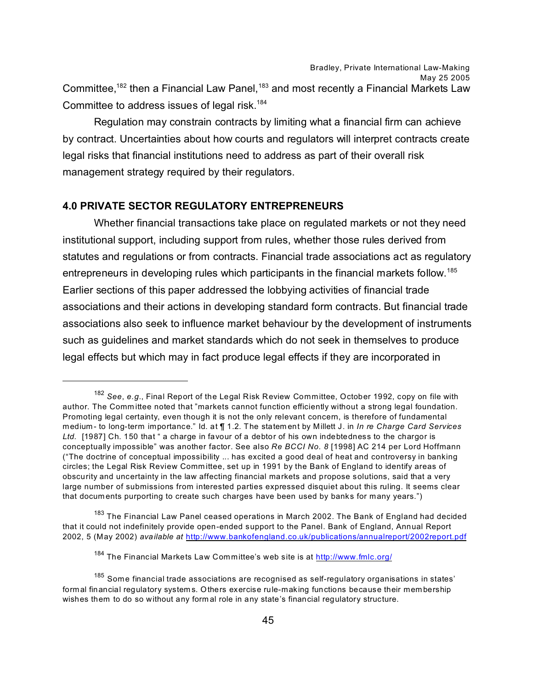Committee,<sup>182</sup> then a Financial Law Panel,<sup>183</sup> and most recently a Financial Markets Law Committee to address issues of legal risk.<sup>184</sup>

Regulation may constrain contracts by limiting what a financial firm can achieve by contract. Uncertainties about how courts and regulators will interpret contracts create legal risks that financial institutions need to address as part of their overall risk management strategy required by their regulators.

## **4.0 PRIVATE SECTOR REGULATORY ENTREPRENEURS**

Whether financial transactions take place on regulated markets or not they need institutional support, including support from rules, whether those rules derived from statutes and regulations or from contracts. Financial trade associations act as regulatory entrepreneurs in developing rules which participants in the financial markets follow.<sup>185</sup> Earlier sections of this paper addressed the lobbying activities of financial trade associations and their actions in developing standard form contracts. But financial trade associations also seek to influence market behaviour by the development of instruments such as guidelines and market standards which do not seek in themselves to produce legal effects but which may in fact produce legal effects if they are incorporated in

 $^\mathrm{183}$  The Financial Law Panel ceased operations in March 2002. The Bank of England had decided that it could not indefinitely provide open-ended support to the Panel. Bank of England, Annual Report 2002, 5 (May 2002) *available at* <http://www.bankofengland.co.uk/publications/annualreport/2002report.pdf>

<sup>182</sup> *See*, *e.g.*, Final Report of the Legal Risk Review Committee, October 1992, copy on file with author. The Comm ittee noted that "markets cannot function efficiently without a strong legal foundation. Promoting legal certainty, even though it is not the only relevant concern, is therefore of fundamental medium - to long-term importance." Id. at ¶ 1.2. The statem ent by Millett J. in *In re Charge Card Services Ltd.* [1987] Ch. 150 that " a charge in favour of a debtor of his own indebtedness to the chargor is conceptually impossible" was another factor. See also *Re BCCI No. 8* [1998] AC 214 per Lord Hoffmann ("The doctrine of conceptual impossibility ... has excited a good deal of heat and controversy in banking circles; the Legal Risk Review Comm ittee, set up in 1991 by the Bank of England to identify areas of obscurity and uncertainty in the law affecting financial markets and propose solutions, said that a very large number of submissions from interested parties expressed disquiet about this ruling. It seems clear that docum ents purporting to create such charges have been used by banks for many years.")

<sup>184</sup> The Financial Markets Law Committee's web site is at <http://www.fmlc.org/>

 $185$  Some financial trade associations are recognised as self-regulatory organisations in states' formal financial regulatory systems. Others exercise rule-making functions because their membership wishes them to do so without any form al role in any state's financial regulatory structure.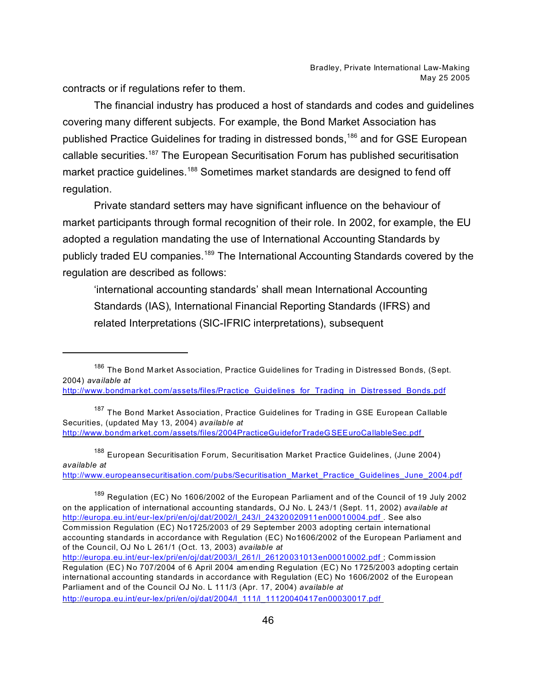contracts or if regulations refer to them.

The financial industry has produced a host of standards and codes and guidelines covering many different subjects. For example, the Bond Market Association has published Practice Guidelines for trading in distressed bonds,<sup>186</sup> and for GSE European callable securities.<sup>187</sup> The European Securitisation Forum has published securitisation market practice guidelines.<sup>188</sup> Sometimes market standards are designed to fend off regulation.

Private standard setters may have significant influence on the behaviour of market participants through formal recognition of their role. In 2002, for example, the EU adopted a regulation mandating the use of International Accounting Standards by publicly traded EU companies.<sup>189</sup> The International Accounting Standards covered by the regulation are described as follows:

'international accounting standards' shall mean International Accounting Standards (IAS), International Financial Reporting Standards (IFRS) and related Interpretations (SIC-IFRIC interpretations), subsequent

<sup>187</sup> The Bond Market Association, Practice Guidelines for Trading in GSE European Callable Securities, (updated May 13, 2004) *available at* http://www.bondmarket.com [/assets/files/2004PracticeGuideforTradeGSEEuroCallableSec.pdf](http://www.bondmarket.com/assets/files/2004PracticeGuideforTradeGSEEuroCallableSec.pdf ) 

<sup>188</sup> European Securitisation Forum, Securitisation Market Practice Guidelines, (June 2004) *available at*

[http://www.europeansecuritisation.com/pubs/Securitisation\\_Market\\_Practice\\_Guidelines\\_June\\_2004.pdf](http://www.europeansecuritisation.com/pubs/Securitisation_Market_Practice_Guidelines_June_2004.pdf)

<sup>189</sup> Regulation (EC) No 1606/2002 of the European Parliament and of the Council of 19 July 2002 on the application of international accounting standards, OJ No. L 243/1 (Sept. 11, 2002) *available at*  [http://europa.eu.int/eur-lex/pri/en/oj/dat/2002/l\\_243/l\\_24320020911en00010004.pdf](http://europa.eu.int/eur-lex/pri/en/oj/dat/2002/l_243/l_24320020911en00010004.pdf ) . See also Commission Regulation (EC) No1725/2003 of 29 September 2003 adopting certain international accounting standards in accordance with Regulation (EC) No1606/2002 of the European Parliament and of the Council, OJ No L 261/1 (Oct. 13, 2003) *available at* [http://europa.eu.int/eur-lex/pri/en/oj/dat/2003/l\\_261/l\\_26120031013en00010002.pdf](http://europa.eu.int/eur-lex/pri/en/oj/dat/2003/l_261/l_26120031013en00010002.pdf ) ; Comm ission

<sup>186</sup> The Bond Market Association, Practice Guidelines for Trading in Distressed Bonds, (Sept. 2004) *available at* 

[http://www.bondmarket.com/assets/files/Practice\\_Guidelines\\_for\\_Trading\\_in\\_Distressed\\_Bonds.pdf](http://www.bondmarket.com/assets/files/Practice_Guidelines_for_Trading_in_Distressed_Bonds.pdf)

Regulation (EC) No 707/2004 of 6 April 2004 am ending Regulation (EC) No 1725/2003 adopting certain international accounting standards in accordance with Regulation (EC) No 1606/2002 of the European Parliament and of the Council OJ No. L 111/3 (Apr. 17, 2004) *available at* [http://europa.eu.int/eur-lex/pri/en/oj/dat/2004/l\\_111/l\\_11120040417en00030017.pdf](http://europa.eu.int/eur-lex/pri/en/oj/dat/2004/l_111/l_11120040417en00030017.pdf )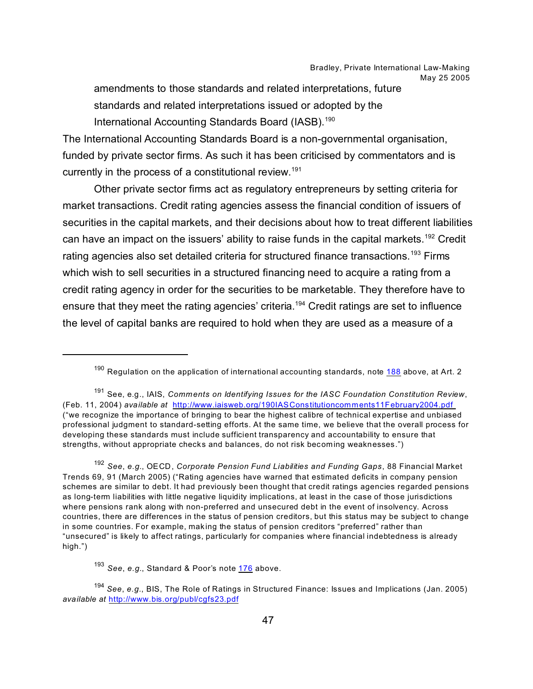amendments to those standards and related interpretations, future standards and related interpretations issued or adopted by the International Accounting Standards Board (IASB).<sup>190</sup>

The International Accounting Standards Board is a non-governmental organisation, funded by private sector firms. As such it has been criticised by commentators and is currently in the process of a constitutional review.<sup>191</sup>

Other private sector firms act as regulatory entrepreneurs by setting criteria for market transactions. Credit rating agencies assess the financial condition of issuers of securities in the capital markets, and their decisions about how to treat different liabilities can have an impact on the issuers' ability to raise funds in the capital markets.<sup>192</sup> Credit rating agencies also set detailed criteria for structured finance transactions.<sup>193</sup> Firms which wish to sell securities in a structured financing need to acquire a rating from a credit rating agency in order for the securities to be marketable. They therefore have to ensure that they meet the rating agencies' criteria.<sup>194</sup> Credit ratings are set to influence the level of capital banks are required to hold when they are used as a measure of a

<sup>192</sup> *See*, *e.g.*, OECD, *Corporate Pension Fund Liabilities and Funding Gaps*, 88 Financial Market Trends 69, 91 (March 2005) ("Rating agencies have warned that estimated deficits in company pension schemes are similar to debt. It had previously been thought that credit ratings agencies regarded pensions as long-term liabilities with little negative liquidity implications, at least in the case of those jurisdictions where pensions rank along with non-preferred and unsecured debt in the event of insolvency. Across countries, there are differences in the status of pension creditors, but this status may be subject to change in some countries. For example, making the status of pension creditors "preferred" rather than "unsecured" is likely to affect ratings, particularly for companies where financial indebtedness is already high.")

<sup>190</sup> Regulation on the application of international accounting standards, note 188 above, at Art. 2

<sup>191</sup> See, e.g., IAIS, *Comments on Identifying Issues for the IASC Foundation Constitution Review*, (Feb. 11, 2004) *available at* [http://www.iaisweb.org/190IASConstitutioncomments11February2004.pdf](http://www.iaisweb.org/190IASConstitutioncomments11February2004.pdf )  ("we recognize the importance of bringing to bear the highest calibre of technical expertise and unbiased professional judgment to standard-setting efforts. At the same time, we believe that the overall process for developing these standards must include sufficient transparency and accountability to ensure that strengths, without appropriate checks and balances, do not risk becoming weaknesses.")

<sup>193</sup> *See*, *e.g.*, Standard & Poor's note 176 above.

<sup>194</sup> *See*, *e.g.*, BIS, The Role of Ratings in Structured Finance: Issues and Implications (Jan. 2005) *available at* <http://www.bis.org/publ/cgfs23.pdf>